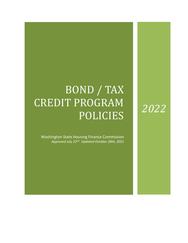# BOND / TAX CREDIT PROGRAM POLICIES

Washington State Housing Finance Commission *Approved July 22nd Updated October 28th, 2021*

# *2022*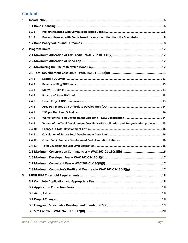# **Contents**

| $\mathbf{1}$   |        |                                                                                            |  |
|----------------|--------|--------------------------------------------------------------------------------------------|--|
|                |        |                                                                                            |  |
|                | 1.1.1  |                                                                                            |  |
|                | 1.1.2  | Projects financed with Bonds issued by an Issuer other than the Commission  8              |  |
|                |        |                                                                                            |  |
| $\overline{2}$ |        |                                                                                            |  |
|                |        |                                                                                            |  |
|                |        |                                                                                            |  |
|                |        |                                                                                            |  |
|                |        |                                                                                            |  |
|                | 2.4.1  |                                                                                            |  |
|                | 2.4.2  |                                                                                            |  |
|                | 2.4.3  |                                                                                            |  |
|                | 2.4.4  |                                                                                            |  |
|                | 2.4.5  |                                                                                            |  |
|                | 2.4.6  |                                                                                            |  |
|                | 2.4.7  |                                                                                            |  |
|                | 2.4.8  |                                                                                            |  |
|                | 2.4.9  | Waiver of the Total Development Cost Limit - Rehabilitation and Re-syndication projects 15 |  |
|                | 2.4.10 |                                                                                            |  |
|                | 2.4.11 |                                                                                            |  |
|                | 2.4.12 |                                                                                            |  |
|                | 2.4.13 |                                                                                            |  |
|                |        |                                                                                            |  |
|                |        |                                                                                            |  |
|                |        |                                                                                            |  |
|                |        | 2.8 Maximum Contractor's Profit and Overhead - WAC 262-01-130(8)(g)17                      |  |
| 3              |        |                                                                                            |  |
|                |        |                                                                                            |  |
|                |        |                                                                                            |  |
|                |        |                                                                                            |  |
|                |        |                                                                                            |  |
|                |        |                                                                                            |  |
|                |        |                                                                                            |  |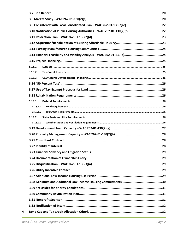| 3.15.1   |
|----------|
| 3.15.2   |
| 3.15.3   |
|          |
|          |
|          |
| 3.18.1   |
| 3.18.1.1 |
| 3.18.1.2 |
| 3.18.2   |
| 3.18.2.1 |
|          |
|          |
|          |
|          |
|          |
|          |
|          |
|          |
|          |
|          |
|          |
|          |
|          |
|          |
|          |

 $\overline{\mathbf{4}}$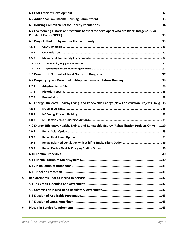|         | 4.4 Overcoming historic and systemic barriers for developers who are Black, Indigenous, or       |  |  |  |
|---------|--------------------------------------------------------------------------------------------------|--|--|--|
|         |                                                                                                  |  |  |  |
|         |                                                                                                  |  |  |  |
| 4.5.1   |                                                                                                  |  |  |  |
| 4.5.2   |                                                                                                  |  |  |  |
| 4.5.3   |                                                                                                  |  |  |  |
| 4.5.3.1 |                                                                                                  |  |  |  |
| 4.5.3.2 |                                                                                                  |  |  |  |
|         |                                                                                                  |  |  |  |
|         |                                                                                                  |  |  |  |
| 4.7.1   |                                                                                                  |  |  |  |
| 4.7.2   |                                                                                                  |  |  |  |
| 4.7.3   |                                                                                                  |  |  |  |
|         | 4.8 Energy Efficiency, Healthy Living, and Renewable Energy (New Construction Projects Only) .38 |  |  |  |
| 4.8.1   |                                                                                                  |  |  |  |
| 4.8.2   |                                                                                                  |  |  |  |
| 4.8.3   |                                                                                                  |  |  |  |
|         | 4.9 Energy Efficiency, Healthy Living, and Renewable Energy (Rehabilitation Projects Only) 39    |  |  |  |
| 4.9.1   |                                                                                                  |  |  |  |
| 4.9.2   |                                                                                                  |  |  |  |
| 4.9.3   |                                                                                                  |  |  |  |
| 4.9.4   | .40                                                                                              |  |  |  |
|         |                                                                                                  |  |  |  |
|         |                                                                                                  |  |  |  |
|         |                                                                                                  |  |  |  |
|         |                                                                                                  |  |  |  |
|         |                                                                                                  |  |  |  |
|         |                                                                                                  |  |  |  |
|         |                                                                                                  |  |  |  |
|         |                                                                                                  |  |  |  |
|         |                                                                                                  |  |  |  |
|         |                                                                                                  |  |  |  |
|         |                                                                                                  |  |  |  |

 $\overline{\mathbf{5}}$ 

 $\boldsymbol{6}$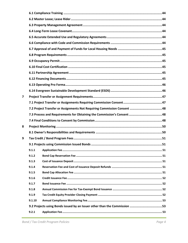| 7 |        |                                                                           |
|---|--------|---------------------------------------------------------------------------|
|   |        |                                                                           |
|   |        | 7.2 Project Transfer or Assignments Not Requiring Commission Consent 48   |
|   |        |                                                                           |
|   |        |                                                                           |
| 8 |        |                                                                           |
|   |        |                                                                           |
| 9 |        |                                                                           |
|   |        |                                                                           |
|   | 9.1.1  |                                                                           |
|   | 9.1.2  |                                                                           |
|   | 9.1.3  |                                                                           |
|   | 9.1.4  |                                                                           |
|   | 9.1.5  |                                                                           |
|   | 9.1.6  |                                                                           |
|   | 9.1.7  |                                                                           |
|   | 9.1.8  |                                                                           |
|   | 9.1.9  |                                                                           |
|   | 9.1.10 |                                                                           |
|   |        | 9.2 Projects using Bonds issued by an Issuer other than the Commission 53 |
|   | 9.2.1  |                                                                           |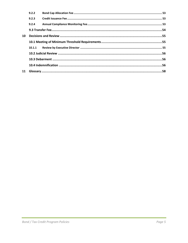|    | 9.2.2  |  |
|----|--------|--|
|    | 9.2.3  |  |
|    | 9.2.4  |  |
|    |        |  |
| 10 |        |  |
|    |        |  |
|    | 10.1.1 |  |
|    |        |  |
|    |        |  |
|    |        |  |
| 11 |        |  |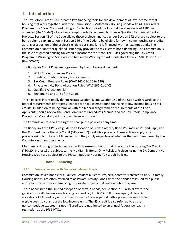# <span id="page-6-0"></span>1 **Introduction**

The Tax Reform Act of 1986 created two financing tools for the development of low-income rental housing that work together under the Commission's Multifamily Housing Bonds with 4% Tax Credits Program (the "Bond/Tax Credit Program"). Section 142 of the Internal Revenue Code of 1986, as amended (the "Code") allows tax-exempt bonds to be issued to finance Qualified Residential Rental Projects. Section 42 of the Code allows those projects financed under Section 142 that are subject to the bond volume cap limitation in Section 146 of the Code to be eligible for low-income housing tax credits as long as a portion of the project's eligible basis and land is financed with tax-exempt bonds. The Commission or another qualified issuer may provide the tax-exempt bond financing. The Commission is the sole designated housing tax credit allocator for the State. The Rules governing the Tax Credit Program in Washington State are codified in the Washington Administrative Code 262-01-110 to 130 (the "WAC").

The Bond/Tax Credit Program is governed by the following documents:

- 1. WSHFC Bond Financing Policies
- 2. Bond/Tax Credit Policies (this document)
- 3. Tax Credit Program Rules (WAC 262-01-110 to 130)
- 4. Private Activity Bond Allocation Rules (WAC 262-01-140)
- 5. Qualified Allocation Plan
- 6. Sections 42 and 142 of the Code.

These policies intentionally do not restate Section 42 and Section 142 of the Code with regards to the federal requirements of projects financed with tax-exempt bond financing or low-income housing tax credits. In addition to being familiar with the federal programmatic requirements of the Code, Applicants should review the Bond Compliance Procedures Manual and the Tax Credit Compliance Procedures Manual as part of a due diligence process.

The Commission reserves the right to change the policies at any time.

The Bond/Tax Credit Policies guide the allocation of Private Activity Bond Volume Cap ("Bond Cap") and the 4% Low-Income Housing Credit ("4% Credit") to eligible projects. These Policies apply only to projects using both types of financing, and they apply regardless of whether the bonds are issued by the Commission or another agency.

Multifamily Housing projects financed with tax-exempt bonds that do not use the Housing Tax Credit ("80/20" projects) are subject to the Multifamily Bonds Only Policies. Projects using the 9% Competitive Housing Credit are subject to the 9% Competitive Housing Tax Credit Policies.

# <span id="page-6-1"></span>1.1 **Bond Financing**

#### <span id="page-6-2"></span>**1.1.1 Projects financed with Commission-Issued Bonds**

Commission-issued bonds for Qualified Residential Rental Projects, hereafter referred to as Multifamily Housing Bonds, are often referred to as Private Activity Bonds since the bonds are issued by a public entity to provide low-cost financing for private projects that serve a public purpose.

These bonds (with the limited exception of certain bonds, see Section 2.3), also allow for the generation of 4% low-income housing tax credits ("LIHTCs"). LIHTCs are equity dollars. An allocation of 4% credits yields tax credits over a 10-year period with a present value of 30% of eligible costs to construct the low-income units. The 4% credit is also referred to as the noncompetitive tax credit, since 4% credits are not limited to an annual federal per capita restriction as the 9% LIHTCs.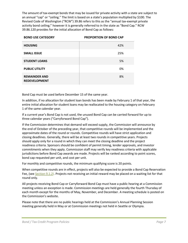The amount of tax-exempt bonds that may be issued for private activity with a state are subject to an annual "cap" or "ceiling." The limit is based on a state's population multiplied by \$100. The Revised Code of Washington ("RCW") 39.86 refers to this as the "annual tax-exempt private activity bond ceiling;" however it is generally referred to in the state as "Bond Cap." RCW 39.86.120 provides for the initial allocation of Bond Cap as follows:

| <b>BOND USE CATEGORY</b>                     | <b>PROPORTION OF BOND CAP</b> |  |
|----------------------------------------------|-------------------------------|--|
| <b>HOUSING</b>                               | 42%                           |  |
| <b>SMALL ISSUE</b>                           | 25%                           |  |
| <b>STUDENT LOANS</b>                         | 5%                            |  |
| <b>PUBLIC UTILITY</b>                        | 0%                            |  |
| <b>REMAINDER AND</b><br><b>REDEVELOPMENT</b> | 8%                            |  |

Bond Cap must be used before December 15 of the same year.

In addition, if no allocation for student loan bonds has been made by February 1 of that year, the entire initial allocation for student loans may be reallocated to the housing category on February 1 of the same calendar year.

If a current year's Bond Cap is not used, the unused Bond Cap can be carried forward for up to three calendar years ("Carryforward Bond Cap").

If the Commission determines that demand will exceed supply, the Commission will announce by the end of October of the preceding year, that competitive rounds will be implemented and the approximate dates of the round or rounds. Competitive rounds will have strict application and closing deadlines. Generally, there will be at least two rounds in competitive years. Projects should apply only for a round in which they can meet the closing deadline and the project readiness criteria. Sponsors should be confident of permit timing, lender approvals, and investor commitments when they apply. Commission staff may verify key readiness criteria with applicable jurisdictions before Bond Cap awards are made. Projects will be ranked according to point scores, bond cap requested per unit, and cost per unit.

For monthly and competitive rounds, the minimum qualifying score is 20 points.

When competitive rounds are in effect, projects will also be expected to provide a Bond Cap Reservation Fee, (see [Section 9.1.2\)](#page-51-7). Projects not receiving an initial reward may be placed on a waiting list for that round only.

All projects receiving Bond Cap or Carryforward Bond Cap must have a public hearing at a Commission meeting unless an exception is made. Commission meetings are held generally the fourth Thursday of each month except for the months of May, November, and December. A meeting schedule is posted on the Commission's website.

Please note that there are no public hearings held at the Commission's Annual Planning Session meeting generally held in May or at Commission meetings not held in Seattle or Olympia.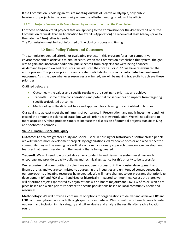If the Commission is holding an off-site meeting outside of Seattle or Olympia, only public hearings for projects in the community where the off-site meeting is held will be official.

#### <span id="page-8-0"></span>**1.1.2 Projects financed with Bonds issued by an Issuer other than the Commission**

For those bond/tax credit projects that are applying to the Commission for the 4% tax credit only, the Commission requests that an Application for Credits (Application) be received at least 60 days prior to the date the 42(m) letter is needed.

The Commission must be kept informed of the closing process and timing.

## <span id="page-8-1"></span>**Bond Policy Values and Outcomes**

The Commission created criteria for evaluating projects in this program for a non-competitive environment and to achieve a minimum score. When the Commission established this system, the goal was to gain and incentivize additional public benefit from projects that were being financed. As demand began to exceed resources, we adjusted the criteria. For 2022, we have re-evaluated the entire process. The policies prioritize and create predictability for **specific, articulated values-based outcomes**. As is the case whenever resources are limited, we will be making trade-offs to achieve these priorities.

Outlined below are:

- Outcomes the values and specific results we are seeking to prioritize and achieve,
- Tradeoffs some of the considerations and potential consequences or impacts from targeting specific articulated outcomes,
- Methodology the different tools and approach for achieving the articulated outcomes.

Our goal is to at least meet the minimums of our targets in Preservation, and public investment and not exceed the amount in balance of state, but we will prioritize New Production. We will not allocate to more acquisition/rehab projects simply to increase the dispersion of potential projects outside of King and Snohomish counties.

#### **Value 1: Racial Justice and Equity**

**Outcome**: To achieve greater equity and social justice in housing for historically disenfranchised people, we will finance more development projects by organizations led by people of color and who reflect the community they will be serving. We will take a more inclusionary approach to encourage development features that benefit residents in the housing that is being created.

**Trade-off:** We will need to work collaboratively to identify and dismantle system-level barriers to encourage and provide capacity building and technical assistance for this priority to be successful.

We recognize that communities of color have not been successful in the housing development and finance arena, and we are committed to addressing the inequities and unintended consequences that our approach to allocating resources have created. We will make changes to our programs that prioritize development **BY** and **FOR** disenfranchised or historically impacted communities. Across the state, we will prioritize projects sponsored by organizations with a board majority and ED/CEO of color, which are place based and which prioritize service to specific populations based on local community needs and resources.

**Methodology:** We will provide a continuum of options for organizations to deliver and achieve a **BY** and **FOR** community-based approach through specific point criteria. We commit to continue to seek broader outreach and inclusion in this category and will evaluate and analyze the results after each allocation round.

**\_\_\_\_\_\_\_\_\_\_\_\_\_\_\_\_\_\_\_\_\_\_\_\_\_\_\_\_\_\_\_\_\_\_\_\_\_\_\_\_\_\_\_\_\_\_\_\_\_\_\_\_\_\_\_\_\_\_\_\_\_\_\_\_\_\_\_\_\_\_\_\_\_\_\_\_\_\_\_\_\_\_\_\_\_**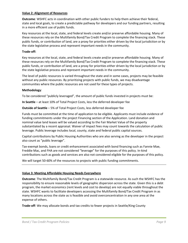#### **Value 2: Alignment of Resources**

**Outcome**: WSHFC acts in coordination with other public funders to help them achieve their federal, state and local goals, to create a predictable pathway for developers and our funding partners, resulting in a more efficient use of public funds.

Key resources at the local, state, and federal levels create and/or preserve affordable housing. Many of these resources rely on the Multifamily Bond/Tax Credit Program to complete the financing stack. These public funds, or contribution of land, are a proxy for priorities either driven by the local jurisdiction or by the state legislative process and represent important needs in the community.

#### **Trade-off:**

Key resources at the local, state, and federal levels create and/or preserve affordable housing. Many of these resources rely on the Multifamily Bond/Tax Credit Program to complete the financing stack. These public funds, or contribution of land, are a proxy for priorities either driven by the local jurisdiction or by the state legislative process and represent important needs in the community.

The level of public resources is varied throughout the state and in some cases, projects may be feasible without any public resources. By prioritizing projects with public funds, we may disadvantage communities where the public resources are not used for these types of projects.

#### **Methodology**:

To be considered "publicly leveraged", the amount of public funds invested in projects must be:

**In Seattle** – at least 10% of Total Project Costs, less the deferred developer fee

**Outside of Seattle** – 5% of Total Project Costs, less deferred developer fee

Funds must be committed at the time of application to be eligible. Applicants must include evidence of funding commitments under the project Financing section of the Application. Land donation and nominal value land leases will be valued according to the Fair Market Value of the property substantiated by a recent appraisal. Waiver of impact fees may count towards the calculation of public leverage. Public leverage includes local, county, state and federal public capital sources.

Capital contributions by Public Housing Authorities who are also serving as the developer in the project also count as "public leverage".

Tax-exempt bonds, loans or credit enhancement associated with bond financing such as Fannie Mae, Freddie Mac, and FHA are not considered "leverage" for the purposes of this policy. In-kind contributions such as goods and services are also not considered eligible for the purposes of this policy.

We will target 50-60% of the resources to projects with public funding commitments.

#### **Value 3: Meeting Affordable Housing Needs Everywhere**

**Outcome**: The Multifamily Bond/Tax Credit Program is a statewide resource. As such the WSHFC has the responsibility to ensure reasonable levels of geographic dispersion across the state. Given this is a debt program, the market economics (rent levels and cost to develop) are not equally viable throughout the state. WSHFC wants to facilitate developers accessing the Multifamily Bond/Tax Credit Program in as many locations across the state as is feasible and avoid overconcentration in any one area at the expense of others.

**Trade-off**: We may allocate bonds and tax credits to fewer projects in Seattle/King County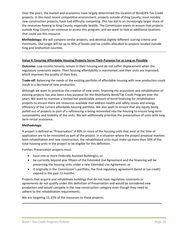Over the years, the market and economics have largely determined the location of Bond/4% Tax Credit projects. In this most recent competitive environment, projects outside of King County, most notably new construction projects, have had difficulty competing. This has led to an increasingly larger share of the resources flowing to King County, especially Seattle. The Commission wants to ensure that projects outside King County can continue to access this program, and we want to look at additional locations that could use this resource.

**Methodology:** We will compare similar projects, and develop slightly different scoring criteria and minimums. Our target will be up to 40% of bonds and tax credits allocated to projects located outside King and Snohomish counties.

#### **Value 4: Ensuring Affordable Housing Projects Serve Their Purpose For as Long as Possible**

**Outcome:** Low-income tenants remain in their housing and do not suffer displacement when the regulatory covenants expire. Their housing affordability is maintained, and their units are improved, which improves the quality of their lives.

**Trade-off**: Balancing the needs of the existing portfolio of affordable housing with new production could result in a decrease of new production.

Although we want to prioritize the creation of new units, financing the acquisition and rehabilitation of existing projects has also been a key purpose for the Multifamily Bond/Tax Credit Program over the years. We want to maintain a limited but predictable amount of bond financing for rehabilitation projects to ensure there are resources available that address health and safety issues and energy efficiency of the current affordable housing portfolio. We also want to ensure that any equity being pulled out of projects as part of a refinancing is being reinvested into the housing to ensure long-term sustainability and livability of the units. We will additionally prioritize the preservation of units with long term rental assistance.

#### **Methodology:**

A project is defined as "Preservation" if 80% or more of the housing units that exist at the time of application are to be renovated as part of the project. In a situation where the project proposal involves both rehabilitation and new construction, the rehabilitated units must make up more than 50% of the total housing units in the project to be eligible for this definition.

Further, Preservation projects must:

- have one or more Federally Assisted Building(s), or
- be currently beyond year fifteen of the Extended Use Agreement and the financing will be preserving the housing units under a new Extended Use Agreement, or
- if originally in the Commission's portfolio, the final regulatory agreement (bond or tax credit) expired in the past 12 months.

Projects that acquire and rehabilitate buildings that do not have regulatory covenants or agreements do not qualify under this definition of Preservation and would be considered new production and would compete in the new construction category even though they need to adhere to the rehabilitation requirements.

**\_\_\_\_\_\_\_\_\_\_\_\_\_\_\_\_\_\_\_\_\_\_\_\_\_\_\_\_\_\_\_\_\_\_\_\_\_\_\_\_\_\_\_\_\_\_\_\_\_\_\_\_\_\_\_\_\_\_\_\_\_\_\_\_\_\_\_\_\_\_\_\_\_\_\_\_\_\_\_\_\_\_\_**

We are targeting 15-25% of the resources to these projects.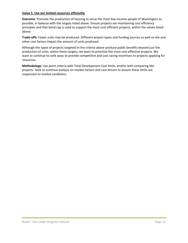#### **Value 5**: **Use our limited resources efficiently**

**Outcome**: Promote the production of housing to serve the most low-income people of Washington as possible, in balance with the targets listed above. Ensure projects are maintaining cost efficiency principles and that bond cap is used to support the most cost-efficient projects, within the values listed above.

**Trade-offs:** Fewer units may be produced**.** Different project types and funding sources as well as site and other cost factors impact the amount of units produced.

Although the types of projects targeted in the criteria above produce public benefits beyond just the production of units, within these targets, we want to prioritize the most cost-effective projects. We want to continue to seek ways to provide competitive and cost saving incentives to projects applying for resources.

**Methodology:** Use point criteria with Total Development Cost limits, and/or with comparing like projects. Seek to continue analysis on market factors and cost drivers to ensure these limits are responsive to market conditions.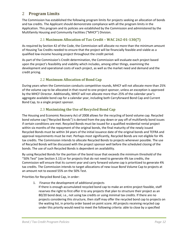# <span id="page-12-0"></span>2 **Program Limits**

The Commission has established the following program limits for projects seeking an allocation of bonds and tax credits. The Applicant should demonstrate compliance with all the program limits in the Application. This program and its policies are established by the Commission and administered by the Multifamily Housing and Community Facilities ("MHCF") Division.

# <span id="page-12-1"></span>2.1 **Maximum Allocation of Tax Credit – WAC 262-01-130(7)**

As required by Section 42 of the Code, the Commission will allocate no more than the minimum amount of Housing Tax Credits needed to ensure that the project will be financially feasible and viable as a qualified low-income housing project throughout the credit period.

As part of the Commission's Credit determination, the Commission will evaluate each project based upon the project's feasibility and viability which includes, among other things, examining the development and operational costs of each project, as well as the market need and demand and the credit pricing.

# <span id="page-12-2"></span>2.2 **Maximum Allocation of Bond Cap**

During years when the Commission conducts competitive rounds, MHCF will not allocate more than 25% of the volume cap to be allocated in that round to one project sponsor, unless an exception is approved by the MHCF Director. Additionally, MHCF will not allocate more than 25% of the calendar year's aggregate available bond cap for a calendar year, including both Carryforward Bond Cap and Current Bond Cap, to a single project sponsor.

# <span id="page-12-3"></span>2.3 **Maximizing the Use of Recycled Bond Cap**

The Housing and Economic Recovery Act of 2008 allows for the recycling of bond volume cap. Recycled bond volume cap ("Recycled Bonds") is derived from the pay down or pay off of multifamily bond issues if certain conditions are met. Recycled Bonds must be issued for a qualified residential rental project within six months of the repayment of the original bonds, the final maturity of the newly issued Recycled Bonds must be within 34 years of the initial issuance date of the original bonds and TEFRA and approval requirements must be met. Perhaps most significantly, Recycled Bonds are not eligible for 4% tax credits. The Commission intends to allocate Recycled Bonds to projects whenever possible. The use of Recycled Bonds will be discussed with the project sponsor well before the scheduled closing of the bonds. The use of such Recycled Bonds is dependent on availability.

By using Recycled Bonds for the portion of the bond issue that exceeds the minimum threshold of the "50% Test" (see Section 3.15) or for projects that do not need to generate 4% tax credits, the Commission will ensure that its current year and carry forward volume cap is prioritized to generate 4% tax credits. The Commission intends to target allocations of new-issue Bond Volume Cap to projects at an amount not to exceed 55% on the 50% Test.

Priorities for Recycled Bond Cap, in order:

- 1. Finance the development of additional projects
	- If there is enough accumulated recycled bond cap to make an entire project feasible, staff reserves the right to first offer it to any projects that plan to structure their project as an 80/20 bond deal, i.e., not using tax credits or using minimal tax credits. If there are no projects considering this structure, then staff may offer the recycled bond cap to projects on the waiting list, in priority order based on point score. All projects receiving recycled cap under this priority would need to meet the following criteria: able to close by a specified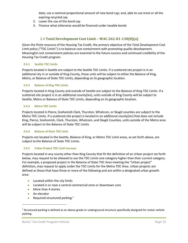date; use a nominal proportional amount of new bond cap; and, able to use most or all the expiring recycled cap

- 2. Lower the use of the bond cap
- 3. Finance what otherwise would be financed under taxable bonds

# <span id="page-13-0"></span>2.4 **Total Development Cost Limit – WAC 262-01-130(8)(a)**

Given the finite resource of the Housing Tax Credit, the primary objective of the Total Development Cost Limit policy ("TDC Limits") is to balance cost containment with promoting quality development. Meaningful cost containment policies are essential to the future success and continued credibility of the Housing Tax Credit program.

#### <span id="page-13-1"></span>**2.4.1 Seattle TDC Limits**

Projects located in Seattle are subject to the Seattle TDC Limits. If a scattered site project is in an additional city in or outside of King County, those units will be subject to either the Balance of King, Metro, or Balance of State TDC Limits, depending on its geographic location.

#### <span id="page-13-2"></span>**2.4.2 Balance of King TDC Limits**

Projects located in King County and outside of Seattle are subject to the Balance of King TDC Limits. If a scattered site project is in an additional county(ies), units outside of King County will be subject to Seattle, Metro or Balance of State TDC Limits, depending on its geographic location.

#### <span id="page-13-3"></span>**2.4.3 Metro TDC Limits**

Projects located in Pierce, Snohomish Clark, Thurston, Whatcom, or Skagit counties are subject to the Metro TDC Limits. If a scattered site project is located in an additional county(ies) that does not include King, Pierce, Snohomish, Clark, Thurston, Whatcom, and Skagit Counties, units outside of the Metro area will be subject to the Balance of State TDC Limits.

#### <span id="page-13-4"></span>**2.4.4 Balance of State TDC Limit**

Projects not located in the Seattle, Balance of King, or Metro TDC Limit areas, as set forth above, are subject to the Balance of State TDC Limits.

#### <span id="page-13-5"></span>**2.4.5 Urban Project TDC Limit Increase**

Projects located in any county other than King County that fit the definition of an Urban project set forth below, may request to be allowed to use the TDC Limits one category higher than their current category. For example, a proposed project in the Balance of State TDC Area meeting the "Urban project" definition, may request to apply under the TDC Limits for the Metro TDC Area. Urban projects are defined as those that have three or more of the following and are within a designated urban growth area:

- Located within the city limits
- Located in or near a central commercial zone or downtown core
- More than 4 stories
- An elevator
- Required structured parking  $1$

 $1$  Structured parking is defined as an above-grade or underground structure specifically designed for motor vehicle parking.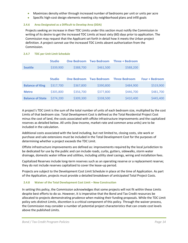- Maximizes density either through increased number of bedrooms per unit or units per acre
- Specific high-cost design elements meeting city neighborhood plans and infill goals

#### <span id="page-14-0"></span>**2.4.6 Area Designated as a Difficult to Develop Area (DDA)**

Projects seeking an increase in their TDC Limits under this section must notify the Commission in writing of its desire to get the increased TDC Limits at least sixty (60) days prior to application. The Commission may request that the Applicant set forth in detail how it meets the Urban project definition. A project cannot use the increased TDC Limits absent authorization from the Commission.

|                         | <b>Studio</b> | <b>One Bedroom</b> | <b>Two Bedroom</b> | <b>Three + Bedroom</b> |                       |
|-------------------------|---------------|--------------------|--------------------|------------------------|-----------------------|
| <b>Seattle</b>          | \$339,900     | \$388,700          | \$461,500          | \$588,200              |                       |
|                         |               |                    |                    |                        |                       |
|                         | <b>Studio</b> | <b>One Bedroom</b> | <b>Two Bedroom</b> | <b>Three Bedroom</b>   | <b>Four + Bedroom</b> |
| <b>Balance of King</b>  | \$317,700     | \$367,800          | \$390,800          | \$484,900              | \$519,900             |
| <b>Metro</b>            | \$305,800     | \$356,700          | \$377,800          | \$446,700              | \$481,700             |
| <b>Balance of State</b> | \$274,200     | \$309,300          | \$338,500          | \$410,400              | \$445,400             |

#### <span id="page-14-1"></span>**2.4.7 TDC per Unit Limit Schedule**

A project's TDC Limit is the sum of the total number of units of each bedroom size, multiplied by the cost Limits of that bedroom size. Total Development Cost is defined as the Total Residential Project Cost minus the cost of land, the costs associated with offsite infrastructure improvements and the capitalized reserves as detailed below. All units (low-income, market-rate and common area units) are to be included in the calculation.

Additional costs associated with the land including, but not limited to, closing costs, site work or purchase and sale extensions must be included in the Total Development Cost for the purposes of determining whether a project exceeds the TDC Limit.

Offsite infrastructure improvements are defined as: improvements required by the local jurisdiction to be dedicated for use by the public and can include roads, curbs, gutters, sidewalks, storm water drainage, domestic water inflow and utilities, including utility steel casings, wiring and installation fees.

Capitalized Reserves include long-term reserves such as an operating reserve or a replacement reserve; they do not include reserves capitalized to cover the lease-up period.

Projects are subject to the Development Cost Limit Schedule in place at the time of Application. As part of the Application, projects must provide a detailed breakdown of anticipated Total Project Costs.

#### <span id="page-14-2"></span>**2.4.8 Waiver of the Total Development Cost Limit – New Construction**

In setting this policy, the Commission acknowledges that some projects will not fit within these Limits despite best efforts to do so. However, it is imperative that the Bond and Tax Credit resources be allocated to projects demonstrating prudence when making their funding proposals. While the TDC Limit policy sets distinct Limits, discretion is a critical component of this policy. Through the waiver process, the Commission may consider a number of potential project characteristics that can create cost levels above the published Limits.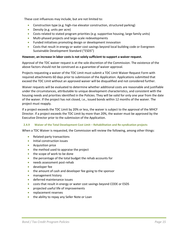These cost influences may include, but are not limited to:

- Construction type (e.g. high-rise elevator construction, structured parking)
- Density (e.g. units per acre)
- Costs related to stated program priorities (e.g. supportive housing, large family units)
- Multi-phased projects and large-scale redevelopments
- Funded initiatives promoting design or development innovation
- Costs that result in energy or water cost savings beyond local building code or Evergreen Sustainable Development Standard ("ESDS")

#### **However, an increase in labor costs is not solely sufficient to support a waiver request.**

Approval of the TDC waiver request is at the sole discretion of the Commission. The existence of the above factors should not be construed as a guarantee of waiver approval.

Projects requesting a waiver of the TDC Limit must submit a TDC Limit Waiver Request Form with required attachments 60 days prior to submission of the Application. Applications submitted that exceed the TDC Limit without an approved waiver will be disqualified and not considered further.

Waiver requests will be evaluated to determine whether additional costs are reasonable and justifiable under the circumstances, attributable to unique development characteristics, and consistent with the housing needs and priorities identified in the Policies. They will be valid for only one year from the date of the waiver. If the project has not closed, i.e., issued bonds within 12 months of the waiver. The project must reapply.

If a project exceeds the TDC Limit by 20% or less, the waiver is subject to the approval of the MHCF Director. If a project exceeds the TDC Limit by more than 20%, the waiver must be approved by the Executive Director prior to the submission of the Application.

#### <span id="page-15-0"></span>**2.4.9 Waiver of the Total Development Cost Limit – Rehabilitation and Re-syndication projects**

When a TDC Waiver is requested, the Commission will review the following, among other things:

- Related-party transactions
- Initial construction issues
- Acquisition price
- the method used to appraise the project
- the scope of work to be done
- the percentage of the total budget the rehab accounts for
- needs assessment post-rehab
- developer fee
- the amount of cash and developer fee going to the sponsor
- management history
- deferred maintenance issues
- costs that result in energy or water cost savings beyond CODE or ESDS
- projected useful life of improvements
- replacement reserves
- the ability to repay any Seller Note or Loan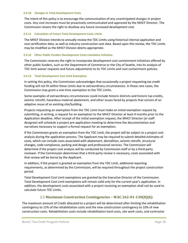#### <span id="page-16-0"></span>**2.4.10 Changes in Total Development Costs**

The intent of this policy is to encourage the communication of any unanticipated changes in project costs. Any cost increases must be proactively communicated and approved by the MHCF Director. The Commission retains the right to disallow any future increased development cost.

#### <span id="page-16-1"></span>**2.4.11 Calculation of Future Total Development Costs Limits**

The MHCF Division intends to annually review the TDC Limits using historical internal application and cost certification data, as well as industry construction cost data. Based upon this review, the TDC Limits may be modified as the MHCF Division deems appropriate.

#### <span id="page-16-2"></span>**2.4.12 Other Public Funders Development Costs Limitation Initiative.**

The Commission reserves the right to incorporate development cost containment initiatives offered by other public funders, such as the Department of Commerce or the City of Seattle, into its analysis of TDC limit waiver requests and future adjustments to its TDC Limits and cost-containment policies.

#### <span id="page-16-3"></span>**2.4.13 Total Development Cost Limit Exemption**

In setting this policy, the Commission acknowledges that occasionally a project requesting tax credit funding will not fit within these Limits due to extraordinary circumstances. In those rare cases, the Commission may grant a one-time exemption to the TDC Limits.

Some examples of extraordinary circumstances could include historic districts and historic tax credits, seismic retrofit, hazardous material abatement, and other issues faced by projects that consist of an adaptive reuse of an existing site/building.

Projects requesting an exemption from the TDC Limit must make an initial exemption request by submitting, in writing, a request for an exemption to the MHCF Director at least 4 months prior to the Application deadline. After receipt of the initial exemption request, the MHCF Director (or staff designee) will schedule a project pre-application meeting to determine the documentation and narratives necessary to support a formal request for an exemption.

If the Commission grants an exemption from the TDC Limit, the project will be subject to a project costanalysis during the application process. The Applicant may be required to submit detailed estimates of costs, which can include costs associated with abatement, demolition, seismic retrofit, structural changes, code compliance, parking and design and professional services. The Commission will determine if the project cost analysis will be conducted by Commission staff or by a third-party reviewer. If the Commission determines that a third-party review is necessary, costs associated with that review will be borne by the Applicant.

In addition, if the project is granted an exemption from the TDC Limit, additional reporting requirements, as determined by the Commission, will be required throughout the project construction period.

Total Development Cost Limit exemptions are granted by the Executive Director of the Commission. Total Development Cost Limit exemptions will remain valid only for the current year's application. In addition, the development costs associated with a project receiving an exemption shall not be used to calculate future TDC Limits.

#### <span id="page-16-4"></span>2.5 **Maximum Construction Contingencies – WAC 262-01-130(8)(b)**

The maximum amount of Credit allocated to a project will be determined after limiting the rehabilitation contingency to 15% of the rehabilitation costs and the new construction contingency to 10% of new construction costs. Rehabilitation costs include rehabilitation hard costs, site work costs, and contractor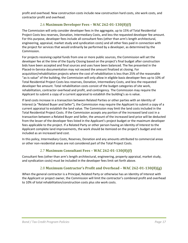profit and overhead. New construction costs include new construction hard costs, site work costs, and contractor profit and overhead.

# <span id="page-17-0"></span>2.6 **Maximum Developer Fees – WAC 262-01-130(8)(f)**

The Commission will only consider developer fees in the aggregate, up to 15% of Total Residential Project Costs less reserves, Donation, Intermediary Costs, and less the requested developer fee amount. For this purpose, developer fees include all consultant fees (other than arm's length architectural, engineering, appraisal, market study and syndication costs) and all other fees paid in connection with the project for services that would ordinarily be performed by a developer, as determined by the Commission.

For projects receiving capital funds from one or more public sources, the Commission will set the developer fee at the time of the Equity Closing based on the project's final budget after construction bids have been accepted and final sources and uses have been balanced. The fee presented in the Placed-in-Service documentation may not exceed the amount finalized at closing. For acquisition/rehabilitation projects where the cost of rehabilitation is less than 25% of the reasonable "as-is value" of the building, the Commission will only allow in eligible basis developer fees up to 10% of Total Residential Project Costs less reserves, Donation, Intermediary Costs, and less the requested developer fee amount. Total rehabilitation costs consist of the budget categories of site work, rehabilitation, contractor overhead and profit, and contingency. The Commission may require the Applicant to submit a copy of a current appraisal to establish the building's as-is value.

If land costs increase in a transaction between Related Parties or other parties with an Identity of Interest (a "Related Buyer and Seller"), the Commission may require the Applicant to submit a copy of a current appraisal to establish the land value. The Commission may limit the land costs included in the Total Residential Project Costs. If the Commission accepts any portion of the increased land cost in a transaction between a Related Buyer and Seller, the amount of the increased land price will be deducted from the lesser of the developer fees listed in the Applicant's project budget or the maximum developer fees applicable to the project. If a Related Party or other person having an Identity of Interest to the Applicant complete land improvements, the work should be itemized on the project's budget and not included as an increased land cost.

In this policy, Intermediary Costs, Reserves, Donation and any amounts attributed to commercial areas or other non-residential areas are not considered part of the Total Project Costs.

# <span id="page-17-1"></span>2.7 **Maximum Consultant Fees – WAC 262-01-130(8)(f)**

Consultant fees (other than arm's length architectural, engineering, property appraisal, market study, and syndication costs) must be included in the developer fees limit set forth above.

# <span id="page-17-2"></span>2.8 **Maximum Contractor's Profit and Overhead – WAC 262-01-130(8)(g)**

When the general contractor is a Principal, Related Party or otherwise has an Identity of Interest with the Applicant or project owner, the Commission will limit the contractor's combined profit and overhead to 10% of total rehabilitation/construction costs plus site work costs.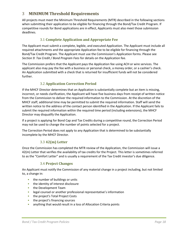# <span id="page-18-0"></span>3 **MINIMUM Threshold Requirements**

All projects must meet the Minimum Threshold Requirements (MTR) described in the following sections when submitting their application to be eligible for financing through the Bond/Tax Credit Program. If competitive rounds for Bond applications are in effect, Applicants must also meet those submission deadlines.

# <span id="page-18-1"></span>3.1 **Complete Application and Appropriate Fee**

The Applicant must submit a complete, legible, and executed Application. The Applicant must include all required attachments and the appropriate Application fee to be eligible for financing through the Bond/Tax Credit Program. The Applicant must use the Commission's Application forms. Please see *Section 9: Tax Credit / Bond Program Fees* for details on the Application fee.

The Commission prefers that the Applicant pays the Application fee using ACH or wire services. The applicant also may pay the fee with a business or personal check, a money order, or a cashier's check. An Application submitted with a check that is returned for insufficient funds will not be considered further.

# <span id="page-18-2"></span>3.2 **Application Correction Period**

If the MHCF Director determines that an Application is substantially complete but an item is missing, incorrect, or needs clarification, the Applicant will have five business days from receipt of written notice from the Commission to deliver the required information to the Commission. At the discretion of the MHCF staff, additional time may be permitted to submit the required information. Staff will send the written notice to the address of the contact person identified in the Application. If the Applicant fails to submit the required information within the required time period (including extensions), the MHCF Director may disqualify the Application.

If a project is applying for Bond Cap and Tax Credits during a competitive round, the Correction Period may not be used to change the number of points selected for a project.

The Correction Period does not apply to any Application that is determined to be substantially incomplete by the MHCF Director.

# <span id="page-18-3"></span>3.3 **42(m) Letter**

Once the Commission has completed the MTR review of the Application, the Commission will issue a 42(m) Letter that verifies the availability of tax credits for the Project. This letter is sometimes referred to as the "Comfort Letter" and is usually a requirement of the Tax Credit investor's due diligence.

# <span id="page-18-4"></span>3.4 **Project Changes**

An Applicant must notify the Commission of any material change in a project including, but not limited to, a change in:

- the number of buildings or units
- the identity of interest disclosure
- the Development Team
- legal counsel or another professional representative's information
- the project's Total Project Costs
- the project's financing sources
- anything that would result in a loss of Allocation Criteria points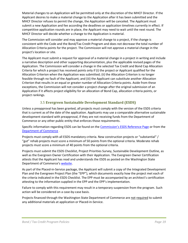Material changes to an Application will be permitted only at the discretion of the MHCF Director. If the Applicant desires to make a material change to the Application after it has been submitted and the MHCF Director refuses to permit the change, the Application will be canceled. The Applicant must submit a new Application and fee according the deadlines or application timelines currently in effect. If competitive application rounds are in place, the Applicant may need to wait until the next round. The MHCF Director will decide whether a change to the Application is material.

The Commission will consider and may approve a material change to a project, if the change is consistent with the Code and the Bond/Tax Credit Program and does not decrease the total number of Allocation Criteria points for the project. The Commission will not approve a material change in the project's location or site.

The Applicant must submit a request for approval of a material change in a project in writing and include a narrative description and other supporting documentation, plus the applicable revised pages of the Application. The Commission will consider a change in the selected Tax Credit and Bond Cap Allocation Criteria for which a project has received points only if (i) the project or Applicant qualified for the Allocation Criterion when the Application was submitted; (ii) the Allocation Criterion is no longer feasible through no fault of the Applicant; and (iii) the Applicant can substitute another Allocation Criterion that results in an equal or greater number of Allocation Criteria points. Aside from these exceptions, the Commission will not consider a project change after the original submission of an Application if it affects project eligibility for an allocation of Bond Cap, allocation criteria points, or project rankings.

# <span id="page-19-0"></span>3.5 **Evergreen Sustainable Development Standard (ESDS)**

Unless a preapproval has been granted, all projects must comply with the version of the ESDS criteria that is current as of the date of the application. Applicants may use a comparable alternative sustainable development standard with preapproval, if they are not receiving funds from the Department of Commerce or any other public entity that enforces those requirements.

Specific information regarding ESDS can be found on the [Commission's ESDS Reference Page](http://wshfc.org/mhcf/9percent/EvergreenStandard.htm) or from the [Department of Commerce](https://www.commerce.wa.gov/building-infrastructure/housing/housing-trust-fund/housing-trust-fund-evergreen-sustainable-development/) .

Projects must comply with all ESDS mandatory criteria. New construction projects or "substantial" / "gut" rehab projects must score a minimum of 50 points from the optional criteria. Moderate rehab projects must score a minimum of 40 points from the optional criteria.

Projects must submit the ESDS Checklist, Project Priorities Survey, Sustainable Development Outline, as well as the Evergreen Owner Certification with their Application. The Evergreen Owner Certification attests that the Applicant has read and understands the ESDS as posted on the Washington State Department of Commerce's [website.](https://www.commerce.wa.gov/building-infrastructure/housing/housing-trust-fund/housing-trust-fund-evergreen-sustainable-development/)

As part of the Placed-in-Service package, the Applicant will submit a copy of the Integrated Development Plan and the Evergreen Project Plan (the "EPP"), which documents exactly how the project met each of the criteria indicated in the ESDS Checklist. The EPP must be accompanied by an architect's certification attesting to the information supplied in the EPP and the EPP's implementation.

Failure to comply with this requirement may result in a temporary suspension from the program. Such action will be considered on a case-by-case basis.

Projects financed through the Washington State Department of Commerce are not required to submit any additional materials at application or Placed-in-Service.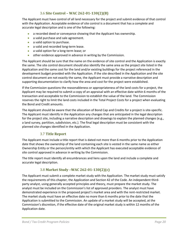# <span id="page-20-0"></span>3.6 **Site Control – WAC 262-01-130(2)(B)**

The Applicant must have control of all land necessary for the project and submit evidence of that control with the Application. Acceptable evidence of site control is a document that has a complete and accurate legal description and is one of the following:

- a recorded deed or conveyance showing that the Applicant has ownership.
- a valid purchase and sale agreement.
- a valid option to purchase.
- a valid and recorded long-term lease.
- a valid option for a long-term lease; or
- other evidence approved in advance in writing by the Commission.

The Applicant should be sure that the name on the evidence of site control and the Application is exactly the same. The site control document should also identify the same area as the project site listed in the Application and the same cost for the land and/or existing buildings for the project referenced in the development budget provided with the Application. If the site described in the Application and the site control document are not exactly the same, the Applicant must provide a narrative description and supporting documentation to clarify how the area and cost for the project were established.

If the Commission questions the reasonableness or appropriateness of the land costs for a project, the Applicant may be required to submit a copy of an appraisal with an effective date within 6 months of the transaction and acceptable to the Commission to establish the value of the land. The Commission reserves the right to limit the land costs included in the Total Project Costs for a project when evaluating the Bond and Credit amounts.

The Applicant should be aware that the allocation of Bond Cap and Credits for a project is site-specific. The Applicant must identify in the Application any changes that are anticipated in the legal description for the project site, including a narrative description and drawings to explain the planned changes (e.g., a land survey, partition, subdivision, etc.). The final legal description must be consistent with the planned site changes identified in the Application.

# <span id="page-20-1"></span>3.7 **Title Report**

The Applicant must include a title report that is dated not more than 6 months prior to the Application date that shows the ownership of the land containing each site is vested in the same name as either Ownership Entity or the person/entity with which the Applicant has executed acceptable evidence of site control approved in advance in writing by the Commission.

The title report must identify all encumbrances and liens upon the land and include a complete and accurate legal description.

# <span id="page-20-2"></span>3.8 **Market Study –WAC 262-01-130(2)(c)**

The Applicant must submit a complete market study with the Application. The market study must satisfy the requirements of this chapter, the Application and Section 42 of the Code. An independent thirdparty analyst, using generally accepted principles and theory, must prepare the market study. The analyst must be included on the Commission's list of approved providers. The analyst must have demonstrated experience in the proposed project's market area and with the rent-restricted market. The market study must have an effective date no more than 6 months prior to the date that the Application is submitted to the Commission. An update of a market study will be accepted, at the Commission's discretion, if the effective date of the original market study is within 12 months of the Application date.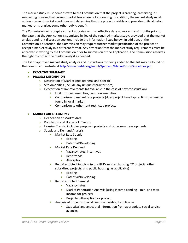The market study must demonstrate to the Commission that the project is creating, preserving, or renovating housing that current market forces are not addressing. In addition, the market study must address current market conditions and determine that the project is viable and provides units at below market rents or gives some other public benefit.

The Commission will accept a current appraisal with an effective date no more than 6 months prior to the date that the Application is submitted in lieu of the required market study, provided that the market analysis and rent discussion sections include the information listed below. In addition, at the Commission's discretion, the Commission may require further market justification of the project or accept a market study in a different format. Any deviation from the market study requirements must be approved in writing by the Commission prior to submission of the Application. The Commission reserves the right to contact the market analyst as needed.

The list of approved market study analysts and instructions for being added to that list may be found on the Commission website a[t http://www.wshfc.org/mhcf/9percent/MarketStudyGuidelines.pdf.](http://www.wshfc.org/mhcf/9percent/MarketStudyGuidelines.pdf)

## • **EXECUTIVE SUMMARY**

- **PROJECT DESCRIPTION**
	- o Description of Market Area (general and specific)
	- o Site Amenities (include any unique characteristics)
	- o Description of Improvements (as available in the case of new construction)
		- Unit mix, unit amenities, common amenities
		- Comparison to market rate projects (does project have typical finish, amenities found in local market)
		- Comparison to other rent restricted projects

#### • **MARKET AREA ECONOMY**

- o Delineation of Market Area
- o Population and Household Trends
- o Housing Trends, including proposed projects and other new developments
- o Supply and Demand Analysis
	- Market Rate Supply
		- Existing
		- Potential/Developing
	- Market Rate Demand
		- Vacancy rates, incentives
		- Rent trends
		- Absorption
	- Rent-Restricted Supply (discuss HUD-assisted housing, TC projects, other subsidized projects, and public housing, as applicable)
		- Existing
		- Potential/Developing
	- Rent-Restricted Demand
		- Vacancy rates
		- Market Penetration Analysis (using income banding min. and max. income for project)
		- Projected Absorption for project
	- Analysis of project's special needs set asides, if applicable
		- Statistical and anecdotal information from appropriate social service agencies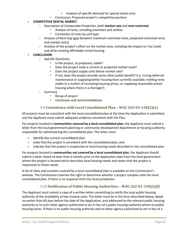- Analysis of specific demand for special needs units
- **EXECONCLUST CONCLUSTED EXECUTE:** Conclusion: Proposed project's competitive position

#### • **COMPETITIVE RENTAL MARKET**

- o Description of Comparable Properties, both **market rate** and **rent-restricted**
	- Analysis of rents, including amenities and utilities
	- Conclusion of rents by unit type
- $\circ$  Analysis of Rent Gap (gap between maximum restricted rents, projected restricted rents and market rents)
- $\circ$  Analysis of the project's effect on the market area, including the impact on Tax Credit and other existing affordable rental housing

#### • **CONCLUSION**

- o Specific Questions:
	- Is the project, as proposed, viable?
	- Does the project meet a current or projected market need?
	- Does the project supply units below market rate?
	- If not, does the project provide some other public benefit? (i.e. Curing deferred maintenance or supplying better housing than currently available, holding rents stable in a market of increasing housing prices, or supplying reasonably priced housing where there is a shortage?)
- o Summary
	- Recap of project
	- Conclusion and recommendations

## <span id="page-22-0"></span>3.9 **Consistency with Local Consolidated Plan – WAC 262-01-130(2)(e)**

All projects must be consistent with the local consolidated plan at the time the Application is submitted, and the Applicant must submit adequate evidence consistent with the Plan.

For projects located in **communities covered by a local consolidated plan**, the Applicant must submit a letter from the local government planning or community development department or housing authority responsible for administering the consolidated plan. The letter must:

- identify the current consolidated plan.
- state that the project is consistent with the consolidated plan; and
- indicate that the project is responsive to local housing needs described in the consolidated plan.

For projects located in **communities not covered by a local consolidated plan**, the Applicant should submit a letter dated no later than 6 months prior to the Application date from the local government where the project is located which describes local housing needs and states that the project is responsive to those needs.

A list of cities and counties covered by a local consolidated plan is available on the Commission's website. The Commission reserves the right to determine whether a project complies with the local consolidated plan, if there is no response from the local jurisdiction.

# <span id="page-22-1"></span>3.10 **Notification of Public Housing Authorities – WAC 262-01-130(2)(f)**

The Applicant must submit a copy of a written letter committing to notify the local public housing authority of the availability of low-income units. The letter must be in the form described below, dated no earlier than 60 days before the date of the Application, and addressed to the relevant public housing authority or to such other agency authorized to act in lieu of a public housing authority where no public housing exists. If there is no public housing authority and no other agency authorized to act in lieu of a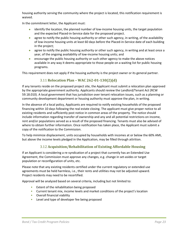housing authority serving the community where the project is located, this notification requirement is waived.

In the commitment letter, the Applicant must:

- identify the location, the planned number of low-income housing units, the target population and the expected Placed-in-Service date for the proposed project.
- agree to notify the public housing authority or other such agency, in writing, of the availability of low-income housing units at least 60 days before the Placed-in-Service date of each building in the project;
- agree to notify the public housing authority or other such agency, in writing and at least once a year, of the ongoing availability of low-income housing units; and
- encourage the public housing authority or such other agency to make the above notices available in any way it deems appropriate to those people on a waiting list for public housing programs.

This requirement does not apply if the housing authority is the project owner or its general partner.

# <span id="page-23-0"></span>3.11 **Relocation Plan – WAC 262-01-130(2)(d)**

If any tenants reside on the proposed project site, the Applicant must submit a relocation plan approved by the appropriate government authority. Applicants should review the Landlord/Tenant Act (RCW 59.18.010). A local government that has jurisdiction over tenant relocation issues, such as a planning or community development department or housing authority must approve the plan, in writing.

In the absence of a local policy, Applicants are required to notify existing households of the proposed financing within 10 days following the real estate closing. The applicant must give proper notice to all existing residents and sufficiently post notice in common areas of the property. The notice should include information regarding transfer of ownership and any and all potential restrictions on income, rent and/or populations served as a result of the proposed financing. Tenants must also be advised of where to obtain further information. Once notification has taken place, the Applicant must submit a copy of the notification to the Commission.

To help minimize displacement, units occupied by households with incomes at or below the 60% AMI, but above the income levels pledged in the Application, may be filled through attrition.

# <span id="page-23-1"></span>3.12 **Acquisition/Rehabilitation of Existing Affordable Housing**

If an Applicant is considering a re-syndication of a project that currently has an Extended Use Agreement, the Commission must approve any changes, e.g. change in set-asides or target population or reconfiguration of units, etc.

Please note that any existing residents certified under the current regulatory or extended use agreements must be held harmless, i.e., their rents and utilities may not be adjusted upward. Project residents may need to be recertified.

Approval will be analyzed based on several criteria, including but not limited to:

- Extent of the rehabilitation being proposed
- Current tenant mix, income levels and market conditions of the project's location
- Overall financial viability
- Level and type of developer fee being proposed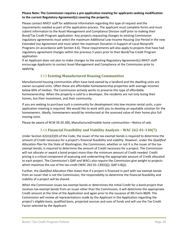#### **Please Note: The Commission requires a pre-application meeting for applicants seeking modification to the current Regulatory Agreement(s) covering the property.**

Please contact MHCF staff for additional information regarding this type of request and the requirements needed as part of the application process. The applicant must complete forms and must submit information to the Asset Management and Compliance Division staff prior to making their Bond/Tax Credit Program application. Any projects requesting changes to existing Commission regulatory agreements must select the maximum Additional Low-Income Housing Use Period in the new Extended Use Agreement and must select the maximum Donation in Support of Local Nonprofit Programs (in accordance with Section 4.6). These requirements will also apply to projects that have had regulatory agreement changes within the previous 5 years prior to their Bond/Tax Credit Program application.

If an Applicant does not plan to make changes to the existing Regulatory Agreement(s) MHCF staff encourage Applicants to contact Asset Management and Compliance at the Commission prior to applying.

# <span id="page-24-0"></span>3.13 **Existing Manufactured Housing Communities**

Manufactured housing communities often have land owned by a landlord and the dwelling units are owner-occupied units. Often these are affordable homeownership properties with average incomes below 60% of median. The Commission actively works to preserve this type of affordable homeownership. When the property is sold to a developer, the residents are not only losing their homes, but their investment, and their community.

If you are seeking to purchase such a community for development into low-income rental units, a preapplication meeting is required. We would like to work with you to develop an equitable solution for the homeowners. Ideally, homeowners would be reimbursed at the assessed value of their home plus full moving costs.

Please be aware of RCW 59.20.300, Manufactured/mobile home communities—Notice of sale.

# <span id="page-24-1"></span>3.14 **Financial Feasibility and Viability Analysis – WAC 262-01-130(7)**

Under Section 42(m)(2)(D) of the Code, the issuer of the tax-exempt bonds is required to determine the amount of Credit necessary for a project's financial feasibility and viability. However, under the *Qualified Allocation Plan* for the State of Washington, the Commission, whether or not it is the issuer of the taxexempt bonds, is required to determine the amount of Credit necessary for a project. The Commission will not allocate or award a bond project more than the minimum amount of Credit needed. Credit pricing is a critical component of assessing and underwriting the appropriate amount of Credit allocated to each project. The Commission's QAP and WACs also require the Commission give weight to projects which maximize the use of the tax credit (WAC 262-01-130(5)(j); QAP II.B(j)).

Further, the *Qualified Allocation Plan* states that if a project is financed in part with tax-exempt bonds from an issuer that is not the Commission, the responsibility to determine the financial feasibility and viability of a project will be shared.

When the Commission issues tax-exempt bonds or determines the initial Credit for a bond project that receives tax-exempt bonds from an issuer other than the Commission, it will determine the appropriate Credit amount at the time of the Application and again prior to the issuance of IRS Form 8609. The Commission will review all representations made by the Applicant in the Application regarding the project's eligible basis, qualified basis, projected sources and uses of funds and will use the Tax Credit Factor selected by the Applicant.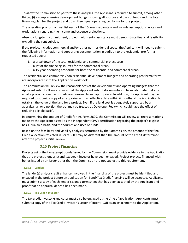To allow the Commission to perform these analyses, the Applicant is required to submit, among other things, (i) a comprehensive development budget showing all sources and uses of funds and the total financing plan for the project and (ii) a fifteen-year operating pro forma for the project.

The operating pro forma must list each of the 15 years separately and include assumptions, notes and explanations regarding the income and expense projections.

Absent a long-term commitment, projects with rental assistance must demonstrate financial feasibility excluding the rent subsidy.

If the project includes commercial and/or other non-residential space, the Applicant will need to submit the following information and supporting documentation in addition to the residential pro forma requested above:

- 1. a breakdown of the total residential and commercial project costs.
- 2. a list of the financing sources for the commercial areas.
- 3. a 15-year operating pro forma for both the residential and commercial areas.

The residential and commercial/non-residential development budgets and operating pro forma forms are incorporated into the Application workbook.

The Commission will review the reasonableness of the development and operating budgets that the Applicant submits. It may require that the Applicant submit documentation to substantiate that any or all of a project's revenue or costs are reasonable and appropriate. In addition, the Applicant may be required to submit a copy of an appraisal with an effective date within 6 months of the Application to establish the value of the land for a project. Even if the land cost is adequately supported by an appraisal, all or a portion thereof may be treated as Developer Fee (which could have the effect of reducing eligible basis).

In determining the amount of Credit for IRS Form 8609, the Commission will review all representations made by the Applicant as well as the Independent CPA's certification regarding the project's eligible basis, qualified basis, and the sources and uses of funds.

Based on the feasibility and viability analyses performed by the Commission, the amount of the final Credit allocation reflected in Form 8609 may be different than the amount of the Credit determined after the project's initial review.

# <span id="page-25-0"></span>3.15 **Project Financing**

Projects using the tax-exempt bonds issued by the Commission must provide evidence in the Application that the project's lender(s) and tax credit investor have been engaged. Project projects financed with bonds issued by an issuer other than the Commission are not subject to this requirement.

#### <span id="page-25-1"></span>**3.15.1 Lenders**

The lender(s) and/or credit enhancer involved in the financing of the project must be identified and engaged in the project before an application for Bond/Tax Credit financing will be accepted. Applicants must submit a copy of each lender's signed term sheet that has been accepted by the Applicant and proof that an appraisal deposit has been made.

#### <span id="page-25-2"></span>**3.15.2 Tax Credit Investor**

The tax credit investor/syndicator must also be engaged at the time of application. Applicants must submit a copy of the Tax Credit Investor's Letter of Intent (LOI) as an attachment to the Application.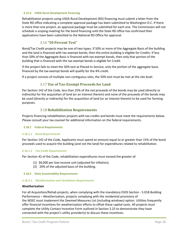#### <span id="page-26-0"></span>**3.15.3 USDA Rural Development Financing**

Rehabilitation projects using USDA Rural Development (RD) financing must submit a letter from the State RD office indicating a complete approval package has been submitted to Washington D.C. If there is more than one project, an approval package must be submitted for each one. The Commission will not schedule a scoping meeting for the bond financing until the State RD office has confirmed their applications have been submitted to the National RD Office for approval.

# <span id="page-26-1"></span>3.16 **"50 Percent Test"**

Bond/Tax Credit projects may be one of two types. If 50% or more of the Aggregate Basis of the building and the land is financed with tax-exempt bonds, then the entire building is eligible for Credits. If less than 50% of the Aggregate Basis is financed with tax-exempt bonds, then only that portion of the building that is financed with the tax-exempt bonds is eligible for Credit.

If the project fails to meet the 50% test at Placed-In-Service, only the portion of the aggregate basis financed by the tax-exempt bonds will qualify for the 4% credit.

If a project consists of multiple non-contiguous sites, the 50% test must be met at the site level.

# <span id="page-26-2"></span>3.17 **Use of Tax-Exempt Proceeds for Land**

Per Section 142 of the Code, less than 25% of the net proceeds of the bonds may be used (directly or indirectly) for the acquisition of land (or an interest therein) and none of the proceeds of the bonds may be used (directly or indirectly) for the acquisition of land (or an interest therein) to be used for farming purposes.

# <span id="page-26-3"></span>3.18 **Rehabilitation Requirements**

Projects financing rehabilitation projects with tax credits and bonds must meet the requirements below. Please consult your tax counsel for additional information on the federal requirements.

#### <span id="page-26-4"></span>**3.18.1 Federal Requirements**

#### <span id="page-26-5"></span>**3.18.1.1** *Bond Requirements*

Per Section 142 of the Code, Applicants must spend an amount equal to or greater than 15% of the bond proceeds used to acquire the building (and not the land) for expenditures related to rehabilitation.

#### <span id="page-26-6"></span>**3.18.1.2** *Tax Credit Requirements*

Per Section 42 of the Code, rehabilitation expenditures must exceed the greater of:

- (1) \$6,000 per low-income unit (adjusted for inflation);
- <span id="page-26-8"></span>(2) 20% of the adjusted basis of the building.

<span id="page-26-7"></span>**3.18.2 State Sustainability Requirements**

#### **3.18.2.1** *Weatherization and Ventilation Requirements*

#### **Weatherization**

For all Acquisition/Rehab projects, when complying with the mandatory ESDS Section - 5.01B Building Performance – Weatherization, projects complying with the residential provisions of the WSEC must implement the Deemed Measures List (including windows) option. Utilities frequently offer financial incentives for weatherization efforts to offset these capital costs. All projects must complete the Utility Contact Incentive Form outlined in Section 3.25 to demonstrate they have connected with the project's utility provider(s) to discuss these incentives.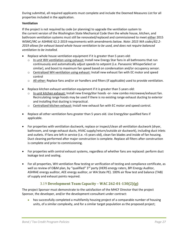During submittal, all required applicants must complete and include the Deemed Measures List for all properties included in the application.

## **Ventilation**

If the project is not required by code (or planning) to upgrade the ventilation system to the current version of the Washington State Mechanical Code then the whole house, kitchen, and bathroom ventilation systems must still be renovated/replaced and commissioned to meet either 2015 WSMC/IRC or ASHRAE 62.2-2019 requirements with amendments below. *Note: 2015 WA codes/62.2- 2019 allows for exhaust based whole house ventilation to be used, and does not require balanced ventilation to be installed.*

- Replace whole house ventilation equipment if it is greater than 5 years old:
	- o In-unit WH ventilation using exhaust: Install new Energy Star fans in all bathrooms that run continuously and automatically adjust speeds to setpoint (i.e. Panasonic WhisperSelect or similar), and boost to maximum fan speed based on condensation and/or occupancy sensor.
	- o Centralized WH ventilation using exhaust: Install new exhaust fan with EC motor and speed control
	- $\circ$  All other: Replace fans and/or air handlers and filters (if applicable) used to provide ventilation.
- Replace kitchen exhaust ventilation equipment if it is greater than 5 years old:
	- o In-unit kitchen exhaust: Install new EnergyStar hoods -or- new combo microwave/exhaust fan. Recirculating range hoods may be used if there is no existing range exhaust ducting to exterior and installing that ducting is impractical.
	- o Centralized kitchen exhaust: Install new exhaust fan with EC motor and speed control.
- Replace all other ventilation fans greater than 5 years old. Use EnergyStar qualified fans if applicable.
- For properties with ventilation ductwork, replace or inspect/clean all ventilation ductwork (dryer, bathroom, and range exhaust ducts, HVAC supply/return/outside air ductwork), including duct inlets and outlets. If fans are left in service (i.e. <5 years old), clean fan blades and inside of fan housing. Duct cleaning performed after major construction is complete. Replace all filters after construction is complete and prior to commissioning.
- For properties with central exhaust systems, regardless of whether fans are replaced: perform duct leakage test and sealing.
- For all properties, WH ventilation flow testing or verification of testing and compliance certificate, as well as review of O&M plan, by "qualified" 3<sup>rd</sup> party (HERS energy raters, BPI Energy Auditor, ASHRAE energy auditor, AEE energy auditor, or WA State PE). 100% air flow test and balance (TAB) of supply and exhaust points required.

# <span id="page-27-0"></span>3.19 **Development Team Capacity – WAC 262-01-130(2)(g)**

The project Sponsor must demonstrate to the satisfaction of the MHCF Director that the project Sponsor, the developer, and/or the development consultant under contract:

• has successfully completed a multifamily housing project of a comparable number of housing units, of a similar complexity, and for a similar target population as the proposed project;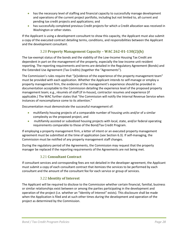- has the necessary level of staffing and financial capacity to successfully manage development and operations of the current project portfolio, including but not limited to, all current and pending tax credit projects and applications; and
- has successfully completed previous Credit projects for which a Credit allocation was received in Washington or other states.

If the Applicant is using a development consultant to show this capacity, the Applicant must also submit a copy of the executed contract detailing terms, conditions, and responsibilities between the Applicant and the development consultant.

# <span id="page-28-0"></span>3.20 **Property Management Capacity – WAC 262-01-130(2)(h)**

The tax-exempt status of the bonds and the viability of the Low-Income Housing Tax Credit are dependent in part on the management of the property, especially the low-income unit resident reporting. The reporting requirements and terms are detailed in the Regulatory Agreement (Bonds) and the Extended Use Agreement (Tax Credits) (together the "Agreements").

The Commission's rules require that "[e]vidence of the experience of the property management team" must be provided with each application. Whether the Applicant intends to self-manage or employ a property management firm, the evidence of the management's experience should be provided in documentation acceptable to the Commission detailing the experience level of the proposed property management team; e.g., résumés of staff (if in-house), contractor resumes and experience (if applicable.) The WAC further states that "the Commission will notify the Internal Revenue Service when instances of noncompliance come to its attention."

Documentation must demonstrate the successful management of:

- multifamily housing projects of a comparable number of housing units and/or of a similar complexity as the proposed project, and
- multifamily assisted or subsidized housing projects with local, state, and/or federal operating requirements comparable to those of the Bond/Tax Credit Program.

If employing a property management firm, a letter of intent or an executed property management agreement must be submitted at the time of application (see Section 6.3). If self-managing, the Commission must be notified of any property management staff changes.

During the regulatory period of the Agreements, the Commission may request that the property manager be replaced if the reporting requirements of the Agreements are not being met.

# <span id="page-28-1"></span>3.21 **Consultant Contract**

If consultant services and corresponding fees are not detailed in the developer agreement, the Applicant must submit a copy of each consultant contract that itemizes the services to be performed by each consultant and the amount of the consultant fee for each service or group of services.

# <span id="page-28-2"></span>3.22 **Identity of Interest**

The Applicant will be required to disclose to the Commission whether certain financial, familial, business or similar relationships exist between or among the parties participating in the development and operation of the project (i.e. whether an "Identity of Interest" exists). This disclosure shall be made when the Application is filed and at such other times during the development and operation of the project as determined by the Commission.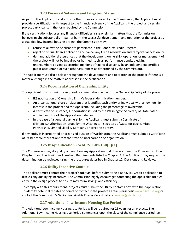# <span id="page-29-0"></span>3.23 **Financial Solvency and Litigation Status**

As part of the Application and at such other times as required by the Commission, the Applicant must provide a certification with respect to the financial solvency of the Applicant, the project and certain project participants in the form required by the Commission.

If the certification discloses any financial difficulties, risks or similar matters that the Commission believes might substantially impair or harm the successful development and operation of the project as a qualified low-income housing project, the Commission may:

- refuse to allow the Applicant to participate in the Bond/Tax Credit Program;
- reject or disqualify an Application and cancel any Credit reservation and carryover allocation; or
- demand additional assurances that the development, ownership, operation, or management of the project will not be impaired or harmed (such as, performance bonds, pledging unencumbered assets as security, opinions of financial solvency by an independent certified public accountant, or such other assurances as determined by the Commission).

The Applicant must also disclose throughout the development and operation of the project if there is a material change in the matters addressed in the certification.

# <span id="page-29-1"></span>3.24 **Documentation of Ownership Entity**

The Applicant must submit the required documentation below for the Ownership Entity of the project:

- IRS notification of Ownership Entity's federal identification number;
- An organizational chart or diagram that identifies each entity or individual with an ownership interest in the project and the Applicant, including the percentage of ownership;
- A Certificate of Existence/Authorization issued by the Washington Secretary of State dated within 6 months of the Application date; and
- In the case of a general partnership, the Applicant must submit a Certificate of Existence/Authorization issued by the Washington Secretary of State for each Limited Partnership, Limited Liability Company or corporate entity.

If any entity is incorporated or organized outside of Washington, the Applicant must submit a Certificate of Existence/Authorization from the state of incorporation or organization.

# <span id="page-29-2"></span>3.25 **Disqualification – WAC 262-01-130(3)(a)**

The Commission may disqualify or condition any Application that does not meet the Program Limits in Chapter 3 and the Minimum Threshold Requirements listed in Chapter 4. The Applicant may request this determination be reviewed using the procedures described in Chapter 12: Decisions and Reviews.

# <span id="page-29-3"></span>3.26 **Utility Incentive Contact**

The applicant must contact their project's utility(s) before submitting a Bond/Tax Credit application to discuss any qualifying incentives. The Commission highly encourages contacting the applicable utilities early in the design process to ensure maximum savings and efficiency.

To comply with this requirement, projects must submit the Utility Contact Form with their application. To identify potential rebates or points of contact in the project's area- please visit [www.dsireusa.org](http://www.dsireusa.org/) or contact the Commission's Senior Sustainable Energy Coordinator at [energy@wshfc.org.](mailto:energy@wshfc.org)

# <span id="page-29-4"></span>3.27 **Additional Low-Income Housing Use Period**

The Additional Low-Income Housing Use Period will be required for 25 years for all projects. The Additional Low-Income Housing Use Period commences upon the close of the compliance period (i.e.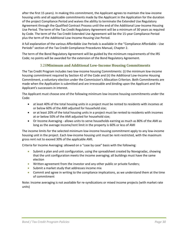after the first 15 years). In making this commitment, the Applicant agrees to maintain the low-income housing units and all applicable commitments made by the Applicant in the Application for the duration of the project Compliance Period and waives the ability to terminate the Extended Use Regulatory Agreement through the Qualified Contract Process until the end of the Additional Low-Income Housing Use Period. The term of the Tax Credit Regulatory Agreement will be a minimum of 30 years as required by Code. The term of the Tax Credit Extended Use Agreement will be the 15-year Compliance Period plus the term of the Additional Low-Income Housing Use Period.

A full explanation of the various Affordable Use Periods is available in the "Compliance Affordable - Use Periods" section of the Tax Credit Compliance Procedures Manual, Chapter 2.

The term of the Bond Regulatory Agreement will be guided by the minimum requirements of the IRS Code; no points will be awarded for the extension of the Bond Regulatory Agreement.

# 3.28**Minimum and Additional Low-Income Housing Commitments**

<span id="page-30-0"></span>The Tax Credit Program includes two low-income housing Commitments: (i) the minimum low-income housing commitment required by Section 42 of the Code and (ii) the Additional Low-Income Housing Commitment, a voluntary election under the Commission's Allocation Criterion. Both Commitments are made when the Application is submitted and are irrevocable and binding upon the Applicant and the Applicant's successors in interest.

The Applicant must choose one of the following minimum low-income housing commitments under the Code:

- at least 40% of the total housing units in a project must be rented to residents with incomes at or below 60% of the AMI adjusted for household size;
- or at least 20% of the total housing units in a project must be rented to residents with incomes at or below 50% of the AMI adjusted for household size;
- Or Income Averaging allows units to serve households earning as much as 80% of the AMI as long as the average income/rent limit in the property is 60% or less of AMI

The income limits for the selected minimum low-income housing commitment apply to any low-income housing unit in the project. Each low-income housing unit must be rent-restricted, with the maximum gross rent not to exceed 30% of the applicable AMI.

Criteria for Income Averaging: allowed on a "case by case" basis with the following:

- Submit a plan and unit configuration, using the spreadsheet created by Novogradac, showing that the unit configuration meets the income averaging; all buildings must have the same election
- Written agreement from the investor and any other public or private funders;
- Submit a market study that addresses income mix
- Commit and agree in writing to the compliance implications, as we understand them at the time of commitment

Note: Income averaging is not available for re-syndications or mixed income projects (with market rate units)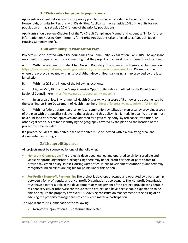# 3.29**Set-asides for priority populations**

<span id="page-31-0"></span>Applicants also must set aside units for priority populations, which are defined as units for Large Households, or units for Persons with Disabilities. Applicants may set aside 10% of the units for each population or may set aside 20% for one of the priority populations.

Applicants should review Chapter 3 of the Tax Credit Compliance Manual and Appendix "P" for further information on Housing Commitments for Priority Populations (also referred to as "Special Needs Housing Commitments").

# 3.30**Community Revitalization Plan**

<span id="page-31-1"></span>Projects must be located within the boundaries of a Community Revitalization Plan (CRP). The applicant may meet this requirement by documenting that the project is in at least one of these three locations:

A. Within a Washington State Urban Growth Boundary. The urban growth areas can be found on: https://geo.wa.gov/datasets/washington-state-city-urban-growth-areas/explore. Please document where the project is located within its local Urban Growth Boundary using a map provided by the local jurisdiction.

B. Within a QCT and in one of the following locations:

• High or Very High on the Comprehensive Opportunity Index as defined by the Puget Sound Regional Council, here: https://www.psrc.org/opportunity-mapping

• In an area of low Environmental Health Disparity, with a score of 5 or lower, as documented by the Washington State Department of Health map, here: https://fortress.wa.gov/doh/wtn/WTNIBL/

C. Within a federal, state, regional, or local community revitalization plan area, by providing a copy of the plan with the specifics relative to the project and this policy highlighted. To qualify, the plan must be a published document, approved and adopted by a governing body, by ordinance, resolution, or other legal action. A site map identifying the geography covered by the plan and the location of the project must be included.

If a project includes multiple sites, each of the sites must be located within a qualifying area, and documented accordingly.

# 3.31**Nonprofit Sponsor**

<span id="page-31-2"></span>All projects must be sponsored by one of the following:

- **Nonprofit Organization:** The project is developed, owned and operated solely by a credible and viable Nonprofit Organization, recognizing there may be for-profit partners or participants to provide tax-credit equity. Public Housing Authorities, Public Development Authorities and federally recognized Indian tribes are eligible for points under this option.
- **For-Profit / Nonprofit Partnership:** The project is developed, owned and operated by a partnership between a for-profit entity and a Nonprofit Organization as co-owners. The Nonprofit Organization must have a material role in the development or management of the project, provide considerable resident services or otherwise contribute to the project; and have a reasonable expectation to be able to acquire the property after year 15. Advising construction management or the hiring of or advising the property manager are not considered material participation.

The Applicant must submit each of the following:

• Nonprofit Organization's IRS determination letter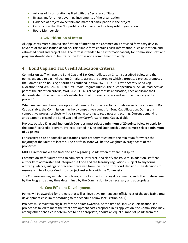- Articles of Incorporation as filed with the Secretary of State
- Bylaws and/or other governing instruments of the organization
- Evidence of project ownership and material participation in the project
- Certification that the Nonprofit is not affiliated with a for-profit organization
- <span id="page-32-0"></span>• Board Member List

### 3.32**Notification of Intent**

All Applicants must submit a Notification of Intent on the Commission's provided form sixty days in advance of the application deadline. This simple form contains basic information, such as location, and estimated bond and project size. The form is intended to be informational only for Commission staff and program stakeholders. Submittal of the form is not a commitment to apply.

# <span id="page-32-1"></span>4 **Bond Cap and Tax Credit Allocation Criteria**

Commission staff will use the Bond Cap and Tax Credit Allocation Criteria described below and the points assigned to each Allocation Criteria to assess the degree to which a proposed project promotes the Commission's housing priorities as outlined in WAC 262-01-140 "Private Activity Bond Cap allocation" and WAC 262-01-130 "Tax Credit Program Rules". The rules specifically include readiness as part of the allocation criteria, WAC 262-01-140 (2) "As part of its application, each applicant shall demonstrate to the commission's satisfaction that it is ready to proceed with the financing of its project."

When market conditions develop so that demand for private activity bonds exceeds the amount of Bond Cap available, the Commission may hold competitive rounds for Bond Cap Allocation. During this competitive process projects will be ranked according to readiness and scoring. Current demand is anticipated to exceed the Bond Cap and any Carryforward Bond Cap available.

Projects outside King and Snohomish Counties must select **a minimum of 20 points** below to apply for the Bond/Tax Credit Program. Projects located in King and Snohomish Counties must select a **minimum of 25 points**.

For scattered site or portfolio applications each property must meet the minimum for where the majority of the units are located. The portfolio score will be the weighted average score of the properties.

MHCF Director makes the final decision regarding points when they are in dispute.

Commission staff is authorized to administer, interpret, and clarify the Policies. In addition, staff has authority to administer and interpret the Code and the treasury regulations, subject to any formal written guidance, rulings or precedent received from the IRS or from court decisions. The decisions to reserve and to allocate Credit to a project rest solely with the Commission.

The Commission may modify the Policies, as well as the forms, legal documents, and other material used by the Program, at any time determined by the Commission to be necessary and appropriate.

#### 4.1**Cost Efficient Development**

<span id="page-32-2"></span>Points will be awarded for projects that will achieve development cost efficiencies of the applicable total development cost limits according to the schedule below (see Section 2.4.7).

Projects must maintain eligibility for the points awarded. At the time of Final Cost Certification, if a project has failed to meet the total development costs proposed in its application, the Commission may, among other penalties it determines to be appropriate, deduct an equal number of points from the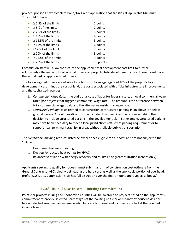project Sponsor's next complete Bond/Tax Credit application that satisfies all applicable Minimum Threshold Criteria.

| $\geq$ 2.5% of the limits  | 1 point   |
|----------------------------|-----------|
| $\geq$ 5% of the limits    | 2 points  |
| $\geq$ 7.5% of the limits  | 3 points  |
| $\geq$ 10% of the limits   | 4 points  |
| $\geq$ 12.5% of the limits | 5 points  |
| $\geq$ 15% of the limits   | 6 points  |
| $\geq$ 17.5% of the limits | 7 points  |
| $\geq$ 20% of the limits   | 8 points  |
| $\geq$ 22.5% of the limits | 9 points  |
| $\geq$ 25% of the limits   | 10 points |

Commission staff will allow 'boosts' to the applicable total development cost limit to further acknowledge the impact of certain cost drivers on projects' total development costs. These 'boosts' are the actual cost of approved cost drivers.

The following cost drivers are eligible for a boost up to an aggregate of 10% of the project's total development cost (minus the cost of land, the costs associated with offsite infrastructure improvements and the capitalized reserves).

- *1. Commercial Wage Rates:* the additional cost of labor for federal, state, or local commercial wage rates (for projects that trigger a commercial wage rate). The amount is the difference between total commercial wages paid and the alternative residential wage rate.
- *2. Structured Parking:* costs related to construction of structured parking in an above- or belowground garage. A brief narrative must be included that describes the rationale behind the decision to include structured parking in the development plan. For example, structured parking may have been necessary to meet a local jurisdiction's off-street parking requirement or to support near-term marketability in areas without reliable public transportation.

The *sustainable building features* listed below are each eligible for a 'boost' and are not subject to the 10% cap.

- *3.* Heat pump hot water heating
- *4.* Ductless/or ducted heat pumps for HVAC
- *5.* Balanced ventilation with energy recovery and MERV 17 or greater filtration (rehabs only)

Applicants seeking to qualify for 'boosts' must submit a form of construction cost estimate from the General Contractor (GC), clearly delineating the hard cost, as well as the applicable portion of overhead, profit, WSST, etc. Commission staff has full discretion over the final amount approved as a 'boost.'

# 4.2**Additional Low-Income Housing Commitment**

<span id="page-33-0"></span>Points for projects in King and Snohomish Counties will be awarded to projects based on the Applicant's commitment to provide selected percentages of the housing units for occupancy by households at or below selected area median income levels. Units are both rent and income restricted at the selected income levels.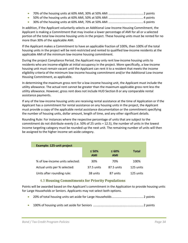• 30% of the housing units at 60% AMI, 70% at 50% AMI ......................................... 6 points

In addition, if the Applicant voluntarily selects an Additional Low-Income Housing Commitment, the Applicant is making a Commitment that may involve a lower percentage of AMI for all or a selected portion of the total low-income housing units in the project. These housing units must be rented for no more than 30% of the applicable AMI.

If the Applicant makes a Commitment to have an applicable fraction of 100%, then 100% of the total housing units in the project will be rent-restricted and rented to qualified low-income residents at the applicable AMI of the minimum low-income housing commitment.

During the project Compliance Period, the Applicant may only rent low-income housing units to residents who are income-eligible at initial occupancy in the project. More specifically, a low-income housing unit must remain vacant until the Applicant can rent it to a resident that meets the income eligibility criteria of the minimum low-income housing commitment and/or the Additional Low-Income Housing Commitment, as applicable.

In determining the maximum gross rent for a low-income housing unit, the Applicant must include the utility allowance. The actual rent cannot be greater than the maximum applicable gross rent less the utility allowance. However, gross rent does not include HUD Section 8 or any comparable rental assistance payments.

If any of the low-income housing units are receiving rental assistance at the time of Application or if the Applicant has a commitment for rental assistance on any housing units in the project, the Applicant must provide a copy of the applicable rental assistance documentation or the commitment specifying the number of housing units, dollar amount, length of time, and any other significant details.

Rounding Rule: For instances where the respective percentage of units that are subject to the commitment do not distribute evenly (i.e. 50% of 25 units = 12.5), the number of units in the lowest income targeting category must be rounded up the next unit. The remaining number of units will then be assigned to the higher income set-aside category.

| <b>Example: 125-unit project</b> |                           |                    |              |  |  |
|----------------------------------|---------------------------|--------------------|--------------|--|--|
|                                  | $\leq 50\%$<br><b>AMI</b> | $\leq 60\%$<br>AMI | <b>Total</b> |  |  |
| % of low-income units selected:  | 30%                       | 70%                | 100%         |  |  |
| Actual units per % selected:     | 37.5 units                | 87.5 units         | 125 units    |  |  |
| Units after rounding rule:       | 38 units                  | 87 units           | 125 units    |  |  |

# <span id="page-34-0"></span>4.3 **Housing Commitments for Priority Populations**

Points will be awarded based on the Applicant's commitment in the Application to provide housing units for Large Households or Seniors. Applicants may not select both options.

- 20% of total housing units set aside for Large Households..................................... 2 points
- 100% of housing units set aside for Seniors ........................................................... 2 points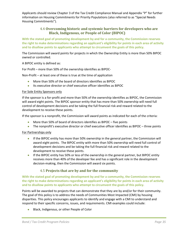Applicants should review Chapter 3 of the Tax Credit Compliance Manual and Appendix "P" for further information on Housing Commitments for Priority Populations (also referred to as "Special Needs Housing Commitments").

# <span id="page-35-0"></span>4.4 **Overcoming historic and systemic barriers for developers who are Black, Indigenous, or People of Color (BIPOC)**

**With the stated goal of promoting development by and for a community, the Commission reserves the right to make determinations regarding an applicant's eligibility for points in each area of activity and to disallow points to applicants who attempt to circumvent the goals of this policy.**

The Commission will award points for projects in which the Ownership Entity is more than 50% BIPOC owned or controlled.

A BIPOC entity is defined as:

For Profit – more than 50% of the ownership identifies as BIPOC-

Non-Profit – at least one of these is true at the time of application

- More than 50% of the board of directors identifies as BIPOC
- Its executive director or chief executive officer identifies as BIPOC

#### For Sole Entity Sponsors only

If the sponsor is a for-profit and more than 50% of the ownership identifies as BIPOC, the Commission will award eight points. The BIPOC sponsor entity that has more than 50% ownership will need full control of development decisions and be taking the full financial risk and reward related to the development to receive these points.

If the sponsor is a nonprofit, the Commission will award points as indicated for each of the criteria:

- More than 50% of board of directors identifies as BIPOC five points
- The nonprofit's executive director or chief executive officer identifies as BIPOC three points

For Partnerships only

- If the BIPOC entity has more than 50% ownership in the general partner, the Commission will award eight points. The BIPOC entity with more than 50% ownership will need full control of development decisions and be taking the full financial risk and reward related to the development to receive these points.
- If the BIPOC entity has 50% or less of the ownership in the general partner, but BIPOC entity receives more than 40% of the developer fee and has a significant role in the development decision-making, then the Commission will award six points.

#### <span id="page-35-1"></span>4.5 **Projects that are by and for the community**

**With the stated goal of promoting development by and for a community, the Commission reserves the right to make determinations regarding an applicant's eligibility for points in each area of activity and to disallow points to applicants who attempt to circumvent the goals of this policy.**

Points will be awarded to projects that can demonstrate that they are by and/or for their community. The goal of this policy is to address the needs of Communities Most Impacted (CMI) by housing disparities. This policy encourages applicants to identify and engage with a CMI to understand and respond to their specific concerns, issues, and requirements. CMI examples could include:

• Black, Indigenous, or other People of Color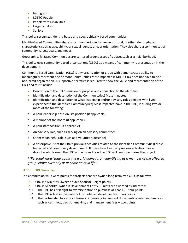- Immigrants
- LGBTQ People
- People with Disabilities
- Large Families
- Seniors

This policy recognizes identity-based and geographically-based communities.

Identity-Based Communities share a common heritage, language, cultural, or other identity-based characteristic such as age, ability, or sexual identity and/or orientation. They also share a common set of community values, goals, and needs.

Geographically Based Communities are centered around a specific place, such as a neighborhood.

This policy uses community-based organizations (CBOs) as a means of community representation in the development.

Community Based Organization (CBO) is any organization or group with demonstrated ability to meaningfully represent one or more Communities Most Impacted (CMI). A CBO does not have to be a non-profit organization. A supportive narrative is required to show the value and representation of the CBO and must include:

- Description of the CBO's mission or purpose and connection to the identified
- Identification and description of the Community(ies) Most Impacted.
- Identification and description of what leadership and/or advisory roles persons with lived experiences\* the identified Community(ies) Most Impacted have in the CBO, including two or more of the following:
- o A paid leadership position, list position (if applicable);
- o A member of the board (if applicable);
- o A paid staff position (if applicable)
- o An advisory role, such as serving on an advisory committee;
- o Other meaningful role, such as a volunteer (describe)
- A descriptive list of the CBO's previous activities related to the identified Community(ies) Most Impacted and community development. If there have been no previous activities, please describe who formed the CBO and why and how the CBO will continue during the project.

\**"Personal knowledge about the world gained from identifying as a member of the affected group, either currently or at some point in life."* 

#### <span id="page-36-0"></span>**4.5.1 CBO Ownership**

The Commission will award points for projects that are owned long-term by a CBO, as follows:

- a. CBO is a Majority Owner or Sole Sponsor eight points
- b. CBO is Minority Owner in Development Entity Points are awarded as indicated:
- b.1 The CBO has first right to exercise option to purchase at Year 15 four points
- b.2 The CBO is first in the waterfall for deferred developer fee two points
- b.3 The partnership has explicit terms in Operating Agreement documenting roles and finances, such as cash flow, decision-making, and management fees – two points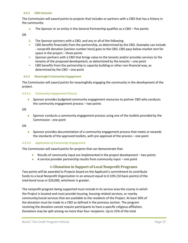#### <span id="page-37-0"></span>**4.5.2 CBO Inclusion**

The Commission will award points to projects that includes or partners with a CBO that has a history in the community:

a. The Sponsor or an entity in the General Partnership qualifies as a CBO – five points

OR

- b. The Sponsor partners with a CBO, and any or all of the following:
- CBO benefits financially from the partnership, as determined by the CBO. Examples can include - nonprofit donation [section number here] goes to the CBO, CBO pays below-market rent for space in the project – three points
- Sponsor partners with a CBO that brings value to the tenants and/or provides services to the tenants of the proposed development, as determined by the tenants – one point
- CBO benefits from the partnership in capacity building or other non-financial way, as determined by the CBO – one point

#### <span id="page-37-1"></span>**4.5.3 Meaningful Community Engagement**

The Commission will award points for meaningfully engaging the community in the development of the project.

#### **4.5.3.1** *Community Engagement Process*

<span id="page-37-2"></span>• Sponsor provides budgeted community engagement resources to partner CBO who conducts the community engagement process – two points

OR

• Sponsor conducts a community engagement process using one of the toolkits provided by the Commission - one point

OR

• Sponsor provides documentation of a community engagement process that meets or exceeds the standards of the approved toolkits, with pre-approval of the process – one point

#### <span id="page-37-3"></span>**4.5.3.2** *Application of Community Engagement*

The Commission will award points for projects that can demonstrate that:

- Results of community input are implemented in the project development two points
- A service provider partnership results from community input one point

#### 4.6**Donation in Support of Local Nonprofit Programs**

<span id="page-37-4"></span>Two points will be awarded to Projects based on the Applicant's commitment to contribute funds to a local Nonprofit Organization in an amount equal to 0.10% (10 basis points) of the total bond issue or \$20,000, whichever is greater.

The nonprofit program being supported must include in its service area the county in which the Project is located and must provide housing, housing-related services, or nearby community/social services that are available to the residents of the Project. At least 50% of the donation must be made to a CBO as defined in the previous section. The program receiving the donation cannot require participants to have a specific religious affiliation. Donations may be split among no more than four recipients. Up to 25% of the total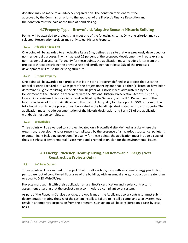donation may be made to an advocacy organization. The donation recipient must be approved by the Commission prior to the approval of the Project's Finance Resolution and the donation must be paid at the time of bond closing.

# 4.7**Property Type – Brownfield, Adaptive Reuse or Historic Building**

<span id="page-38-0"></span>Points will be awarded to projects that meet one of the following criteria. Only one criterion may be selected. Preservation projects may only select Historic Property.

#### <span id="page-38-1"></span>**4.7.1 Adaptive Reuse Site**

One point will be awarded to an Adaptive Reuse Site, defined as a site that was previously developed for non-residential purposes, in which at least 25 percent of the proposed development will reuse existing non-residential structures. To qualify for these points, the application must include a letter from the project architect describing the previous use and certifying that at least 25% of the proposed development will reuse the existing structure.

#### <span id="page-38-2"></span>**4.7.2 Historic Property**

One point will be awarded to a project that is a Historic Property, defined as a project that uses the federal Historic Tax Credit (RTC) as part of the project financing and that is either (1) listed, or have been determined eligible for listing, in the National Register of Historic Places administered by the U.S. Department of the Interior in accordance with the National Historic Preservation Act of 1996; or (2) located in a registered historic district and certified by the Secretary of the U.S. Department of the Interior as being of historic significance to that district. To qualify for these points, 50% or more of the total housing units in the project must be located in the building(s) designated as historic property. The application must include documentation of the historic designation and Form 7B of the application workbook must be completed.

#### <span id="page-38-3"></span>**4.7.3 Brownfields**

Three points will be awarded to a project located on a Brownfield site, defined as a site where the expansion, redevelopment, or reuse is complicated by the presence of a hazardous substance, pollutant, or contaminant including petroleum. To qualify for these points, the application must include a copy of the site's Phase II Environmental Assessment and a remediation plan for the environmental issues.

# <span id="page-38-5"></span><span id="page-38-4"></span>4.8 **Energy Efficiency, Healthy Living, and Renewable Energy (New Construction Projects Only)**

#### **4.8.1 NC Solar Option**

Three points will be awarded for projects that install a solar system with an annual energy production per square foot of conditioned floor area of the building, with an annual energy production greater than or equal to 0.28 kWh/SF/Year

Projects must submit with their application an architect's certification and a solar contractor's assessment attesting that the project can accommodate a compliant solar system.

As part of the Placed-in-Service package, the Applicant or the Applicant's solar contractor must submit documentation stating the size of the system installed. Failure to install a compliant solar system may result in a temporary suspension from the program. Such action will be considered on a case-by-case basis.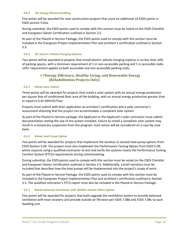#### <span id="page-39-0"></span>**4.8.2 NC Energy Efficient Building**

Five points will be awarded for new construction projects that score an additional 10 ESDS points in ESDS section 5.02a.

During submittal, the ESDS points used to comply with this section must be noted on the ESDS Checklist and Evergreen Owner Certification outlined in Section 3.5.

As part of the Placed-in-Service Package, the ESDS points used to comply with this section must be included in the Evergreen Project Implementation Plan and architect's certification outlined in Section 3.5.

#### <span id="page-39-1"></span>**4.8.3 NC Electric Vehicle Charging Stations**

Two points will be awarded to projects that install electric vehicle charging stations in no less than 10% of parking spaces, with a minimum requirement of 1 in non-accessible parking and 1 in accessible stalls. 10%+ requirement applies to both accessible and non-accessible parking stalls.

# <span id="page-39-3"></span>4.9**Energy Efficiency, Healthy Living, and Renewable Energy (Rehabilitation Projects Only)**

#### <span id="page-39-2"></span>**4.9.1 Rehab Solar Option**

Three points will be awarded for projects that install a solar system with an annual energy production per square foot of conditioned floor area of the building, with an annual energy production greater than or equal to 0.42 kWh/SF/Year.

Projects must submit with their application an architect's certification and a solar contractor's assessment attesting that the project can accommodate a compliant solar system.

As part of the Placed-in-Service package, the Applicant or the Applicant's solar contractor must submit documentation stating the size of the system installed. Failure to install a compliant solar system may result in a temporary suspension from the program. Such action will be considered on a case-by-case basis.

#### <span id="page-39-4"></span>**4.9.2 Rehab Heat Pump Option**

Five points will be awarded for projects that implement the ductless or ducted heat pump options from ESDS Section 5.09. The project must also implement the Performance Testing Option from ESDS 5.09, which requires using a qualified contractor to test and verify the systems meets the Performance Testing Comfort System (PTCS) requirements during commissioning.

During submittal, the ESDS points used to comply with this section must be noted on the ESDS Checklist and Evergreen Owner Certification outlined in Section 3.5. Additionally, a brief narrative must be included that describes how the heat pumps will be implemented into the project's scope of work.

As part of the Placed-in-Service Package, the ESDS points used to comply with this section must be included in the Evergreen Project Implementation Plan and architect's certification outlined in Section 3.5. The qualified contractor's PTCS report must also be included in the Placed-in-Service Package.

#### <span id="page-39-5"></span>**4.9.3 Rehab Balanced Ventilation with Wildfire Smoke Filters Option**

Five points will be awarded for projects that both upgrade the ventilation system to provide balanced ventilation with heat recovery and provide outside air filtration per ESDS 7.08b and ESDS 7.08c to each dwelling unit.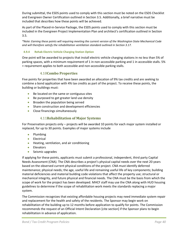During submittal, the ESDS points used to comply with this section must be noted on the ESDS Checklist and Evergreen Owner Certification outlined in Section 3.5. Additionally, a brief narrative must be included that describes how these points will be achieved.

As part of the Placed-in-Service Package, the ESDS points used to comply with this section must be included in the Evergreen Project Implementation Plan and architect's certification outlined in Section 3.5.

*\*Note: Earning these points will requiring meeting the current version of the Washington State Mechanical Code and will therefore satisfy the rehabilitation ventilation standard outlined in Section 3.17.* 

#### <span id="page-40-0"></span>**4.9.4 Rehab Electric Vehicle Charging Station Option**

One point will be awarded to projects that install electric vehicle charging stations in no less than 5% of parking spaces, with a minimum requirement of 1 in non-accessible parking and 1 in accessible stalls. 5% + requirement applies to both accessible and non-accessible parking stalls.

# 4.10**Combo Properties**

<span id="page-40-1"></span>Five points for properties that have been awarded an allocation of 9% tax credits and are seeking to combine a bond application with 4% tax credits as part of the project. To receive these points, the building or buildings must:

- Be located on the same or contiguous sites
- Be purposed to get greater land use density
- Broaden the population being served
- Share construction and development efficiencies
- Close financings simultaneously

# 4.11**Rehabilitation of Major Systems**

<span id="page-40-2"></span>For Preservation projects only – projects will be awarded 10 points for each major system installed or replaced, for up to 30 points. Examples of major systems include

- Plumbing
- Electrical
- Heating, ventilation, and air conditioning
- Elevators
- Seismic upgrades

If applying for these points, applicants must submit a professional, independent, third party Capital Needs Assessment (CNA). The CNA describes a project's physical capital needs over the next 20 years based on the observed current physical conditions of the project. CNA must identify deferred maintenance; physical needs; the age, useful life and remaining useful life of key components; building material deficiencies and material building code violations that affect the property use; structural or mechanical integrity, and future physical and financial needs. The CNA must be the basis from which the scope of work for the project has been developed. MHCF staff may use the CNA along with HUD housing guidelines to determine if the scope of rehabilitation work meets the standards replacing a major system.

The Commission recognizes that existing affordable housing projects may need immediate system repair and replacement for the health and safety of the residents. The Sponsor may begin work on rehabilitation of the building up to 12 months before application to qualify for points. The Commission recommends the request of an Official Intent Declaration [cite section] if the Sponsor plans to begin rehabilitation in advance of application.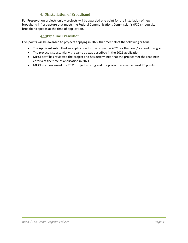# <span id="page-41-0"></span>**Installation of Broadband**

For Preservation projects only – projects will be awarded one point for the installation of new broadband infrastructure that meets the Federal Communications Commission's (FCC's) requisite broadband speeds at the time of application.

## **Pipeline Transition**

<span id="page-41-1"></span>Five points will be awarded to projects applying in 2022 that meet all of the following criteria:

- The Applicant submitted an application for the project in 2021 for the bond/tax credit program
- The project is substantially the same as was described in the 2021 application
- MHCF staff has reviewed the project and has determined that the project met the readiness criteria at the time of application in 2021
- MHCF staff reviewed the 2021 project scoring and the project received at least 70 points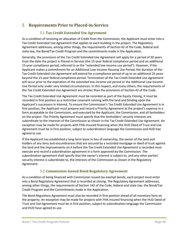# <span id="page-42-0"></span>5 **Requirements Prior to Placed-in-Service**

# <span id="page-42-1"></span>5.1 **Tax Credit Extended Use Agreement**

As a condition of receiving an allocation of Credit from the Commission, the Applicant must enter into a Tax Credit Extended Use Agreement that applies to each building in the project. The Regulatory Agreement addresses, among other things, the requirements of Section 42 of the Code, federal and state law, the Bond/Tax Credit Program and the commitments made in the Application.

Generally, the provisions of the Tax Credit Extended Use Agreement will apply for a period of 30 years from the date the project is Placed-in-Service (the 15-year federal compliance period and an additional 15-year compliance period, referred to as the "extended low-income use period"). However, if the Applicant makes a commitment for an Additional Low-Income Housing Use Period, the duration of the Tax Credit Extended Use Agreement will extend for a compliance period of up to an additional 25 years beyond the 15-year federal compliance period. Termination of the Tax Credit Extended Use Agreement will occur prior to the expiration of the extended low-income use period or the Additional Low-Income Use Period only under very limited circumstances. In this respect, and many others, the requirements of the Tax Credit Extended Use Agreement are stricter than the provisions of Section 42 of the Code.

The Tax Credit Extended Use Agreement must be recorded as part of the Equity Closing. It must be recorded in first position as a restrictive covenant running with the land and binding upon the Applicant's successors in interest. To ensure the Commission's Tax Credit Extended Use Agreement is in first position, the Applicant must prepare and record a Priority Agreement at the project's expense in a form acceptable to the Commission, and executed by the Applicant, the Commission, and all lienholders on the project. The Priority Agreement must specify that the lienholders' security interests are subordinate to the interests of the Commission as shown in the Tax Credit Extended Use Agreement. An exception may be made for projects with FHA-insured financing when the HUD Deed of Trust and Use Agreement must be in first position, subject to subordination language the Commission and HUD hae agreed to use.

If the Applicant has established a long-term lease in lieu of ownership, the owner of the land and holders of any liens and encumbrances that are secured by a recorded mortgage or deed of trust against the land and the improvements on it before the Tax Credit Extended Use Agreement is recorded must execute and record a subordination agreement in a form approved by the Commission. The subordination agreement shall specify that the owner's interest is subject to, and any other parties' security interest is subordinate to, the interests of the Commission as shown in the Regulatory Agreement.

# <span id="page-42-2"></span>5.2 **Commission-Issued Bond Regulatory Agreement**

As a condition of being financed with Commission issued tax-exempt bonds, each project must enter into a Bond Regulatory Agreement that is recorded at closing. The Regulatory Agreement addresses, among other things, the requirements of Section 142 of the Code, federal and state law, the Bond/Tax Credit Program and the Commitments made in the Application.

The Bond Regulatory Agreement must also be recorded in first position ahead of all monetary liens on the property. An exception may be made for projects with FHA-insured financing when the HUD Deed of Trust and Use Agreement must be in first position, subject to subordination language the Commission and HUD have agreed to use.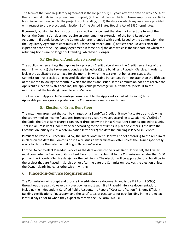The term of the Bond Regulatory Agreement is the longer of (1) 15 years after the date on which 50% of the residential units in the project are occupied; (2) the first day on which no tax-exempt private activity bond issued with respect to the project is outstanding; or (3) the date on which any assistance provided with respect to the project under Section 8 of the United States Housing Act of 1937 terminates.

If currently outstanding bonds substitute a credit enhancement that does not affect the term of the bonds, the Commission does not require an amendment or extension of the Bond Regulatory Agreement. If bonds issued by the Commission are refunded with bonds issued by the Commission, then the Regulatory Agreement continues in full force and effect until (1) not less than 10 years after the expiration date of the Regulatory Agreement in force or (2) the date which is the first date on which the refunding bonds are no longer outstanding, whichever is longer.

# <span id="page-43-0"></span>5.3 **Election of Applicable Percentage**

The applicable percentage that applies to a project's Credit calculation is the Credit percentage of the month in which (1) the tax-exempt bonds are issued or (2) the building is Placed-in-Service. In order to lock in the applicable percentage for the month in which the tax-exempt bonds are issued, the Commission must receive an executed Election of Applicable Percentage Form no later than the fifth day of the month following the month in which the bonds are issued. If the Commission does not receive the Applicant's election by this deadline, the applicable percentage will automatically default to the month(s) that the building(s) are Placed-in-Service.

The Election of Applicable Percentage Form is sent to the Applicant as part of the 42(m) letter. Applicable percentages are posted on the Commission's website each month.

# <span id="page-43-1"></span>5.4 **Election of Gross Rent Floor**

The maximum gross rent that can be charged on a Bond/Tax Credit unit may fluctuate up and down as the county median income fluctuates from year to year. However, according to Section 42(g)(2)(A) of the Code, the Gross Rent charged can never drop below the initial Gross Rent Floor as applied to a unit. That initial Gross Rent Floor may be set according to the rent limits in place on either (1) the date the Commission initially issues a determination letter or (2) the date the building is Placed-in-Service.

Pursuant to Revenue Procedure 94-57, the initial Gross Rent Floor will be set according to the rent limits in place on the date the Commission initially issues a determination letter unless the Owner specifically elects to choose the date the building is Placed-in-Service.

For the Owner to elect Placed-in-Service as the date on which the Gross Rent Floor is set, the Owner must complete the Election of Gross Rent Floor form and submit it to the Commission no later than 5:00 p.m. on the Placed-in-Service date(s) for the building(s). The election will be applicable to all buildings in the project that are Placed-in-Service on or after the date the Commission receives the election unless the Owner clearly indicates otherwise in writing.

# <span id="page-43-2"></span>6 **Placed-in-Service Requirements**

The Commission will accept and process Placed-In-Service documents and issue IRS Form 8609(s) throughout the year. However, a project owner must submit all Placed-In-Service documentation, including the Independent Certified Public Accountants Report ("Cost Certification"), Energy Efficient Building certifications if necessary, and the certificates of occupancy for each building in the project at least 60 days prior to when they expect to receive the IRS Form 8609(s).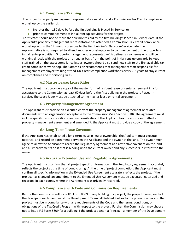# <span id="page-44-0"></span>6.1 **Compliance Training**

The project's property management representative must attend a Commission Tax Credit compliance workshop by the earlier of:

- No later than 180 days before the first building is Placed-in-Service; or
- prior to commencement of initial rent-up activities for the project.

Certificates should not be more than six months old by the first building's Placed-in-Service date. If the Applicant's property management representative has attended a Commission Tax Credit compliance workshop within the 12 months previous to the first building's Placed-in-Service date, the representative is not required to attend another workshop prior to commencement of the property's initial rent-up activities. "Property management representative" is defined as someone who will be working directly with the project on a regular basis from the point of initial rent-up onward. To keep staff trained on the latest compliance issues, owners should also send new staff to the first available tax credit compliance workshop. The Commission recommends that management staff responsible for management employee training attend Tax Credit compliance workshops every 2-3 years to stay current on compliance and monitoring rules.

# <span id="page-44-1"></span>6.2 **Master Lease; Lease Rider**

The Applicant must provide a copy of the master form of resident lease or rental agreement in a form acceptable to the Commission at least 60 days before the first building in the project is Placed-in-Service. The Lease Rider must be attached to the master lease or rental agreement.

# <span id="page-44-2"></span>6.3 **Property Management Agreement**

The Applicant must provide an executed copy of the property management agreement or related documents with an organization acceptable to the Commission (See Section 3.18). The agreement must include specific terms, conditions, and responsibilities. If the Applicant has previously submitted a property management agreement and amended it, the Applicant must provide a copy of the agreement.

# <span id="page-44-3"></span>6.4 **Long-Term Lease Covenant**

If the Applicant has established a long-term lease in lieu of ownership, the Applicant must execute, notarize, and record an agreement between the Applicant and the owner of the land. The owner must agree to allow the Applicant to record the Regulatory Agreement as a restrictive covenant on the land and all improvements on it that is binding upon the current owner and any successors in interest to the owner.

# <span id="page-44-4"></span>6.5 **Accurate Extended Use and Regulatory Agreements**

The Applicant must confirm that all project specific information in the Regulatory Agreement accurately reflects the project at the time of bond closing. At the time of project completion, the Applicant must confirm all specific information in the Extended Use Agreement accurately reflects the project. If the project has changed, an amendment to the Extended Use Agreement must be executed, notarized and recorded in each county where the Agreement was originally recorded.

# <span id="page-44-5"></span>6.6 **Compliance with Code and Commission Requirements**

Before the Commission will issue IRS Form 8609 to any building in a project, the project owner, each of the Principals, each member of the Development Team, all Related Parties to the project owner and the project must be in compliance with any requirements of the Code and the terms, conditions, or obligations of the Tax Credit Program with respect to the project. Further, the Commission may choose not to issue IRS Form 8609 for a building if the project owner, a Principal, a member of the Development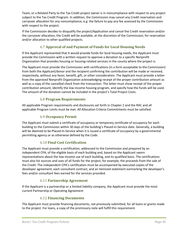Team, or a Related Party to the Tax Credit project owner is in noncompliance with respect to any project subject to the Tax Credit Program. In addition, the Commission may cancel any Credit reservation and carryover allocation for any noncompliance, e.g. the failure to pay any fee assessed by the Commission with respect to the project.

If the Commission decides to disqualify the project/Application and cancel the Credit reservation and/or the carryover allocation, the Credit will be available, at the discretion of the Commission, for reservation and/or allocation to other qualified projects.

# <span id="page-45-0"></span>6.7 **Approval of and Payment of Funds for Local Housing Needs**

If the Applicant represented that it would provide funds for local housing needs, the Applicant must provide the Commission with a written request to approve a donation to a specific Nonprofit Organization that provides housing or housing-related services in the county where the project is.

The Applicant must provide the Commission with certifications (in a form acceptable to the Commission) from both the Applicant/donor and the recipient confirming the contribution will be made or received, respectively, without any favor, benefit, gift, or other consideration. The Applicant must provide a letter from the approved Nonprofit Organization acknowledging receipt of the proper contribution amount as well as a copy of the cancelled check from the transaction. The letter must show receipt of the proper contribution amount, identify the low-income housing program, and specify how the funds will be used. The amount of the donation cannot be included in the project's Total Project Costs.

# <span id="page-45-1"></span>6.8 **Program Requirements**

All applicable Program requirements and disclosures set forth in Chapter 2 and the RAC and all applicable Program Limits must be met. All Allocation Criteria Commitments must be satisfied.

# <span id="page-45-2"></span>6.9 **Occupancy Permit**

The Applicant must submit a certificate of occupancy or temporary certificate of occupancy for each building to the Commission within 30 days of the building's Placed-in-Service date. Generally, a building will be deemed to be Placed-In-Service when it is issued a certificate of occupancy by a governmental permitting agency or as otherwise defined by the Code.

# <span id="page-45-3"></span>6.10 **Final Cost Certification**

The Applicant must provide a certification, addressed to the Commission and prepared by an independent CPA, of the eligible basis of each building and, based on the Applicant sworn representations about the low-income use of each building, and its qualified basis. The certifications must also list sources and uses of all funds for the project, for example, the proceeds from the sale of the Credit. The independent CPA's certification must be accompanied by executed copies of the developer agreement, each consultant contract, and an itemized statement earmarking the developer's fees and/or consultant fees earned for the services provided.

# <span id="page-45-4"></span>6.11 **Partnership Agreement**

If the Applicant is a partnership or a limited liability company, the Applicant must provide the most current Partnership or Operating Agreement

# <span id="page-45-5"></span>6.12 **Financing Documents**

The Applicant must provide financing documents, not previously submitted, for all loans or grants made to the project. For loans, a copy of the promissory note will fulfill this requirement.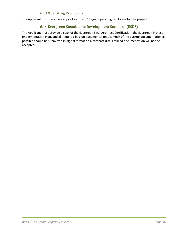# <span id="page-46-0"></span>6.13 **Operating Pro Forma**

The Applicant must provide a copy of a current 15-year operating pro forma for the project.

# <span id="page-46-1"></span>6.14 **Evergreen Sustainable Development Standard (ESDS)**

The Applicant must provide a copy of the Evergreen Final Architect Certification, the Evergreen Project Implementation Plan, and all required backup documentation. As much of the backup documentation as possible should be submitted in digital format on a compact disc. Emailed documentation will not be accepted.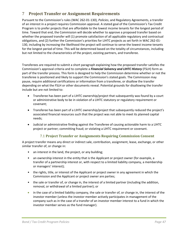# <span id="page-47-0"></span>7 **Project Transfer or Assignment Requirements**

Pursuant to the Commission's rules (WAC 262-01-130), *Policies*, and Regulatory Agreements, a transfer of an interest in a project requires Commission approval. A stated goal of the Commission's Tax Credit Program is to prefer projects that are affordable to the lowest income tenants for the longest period of time. Toward that end, the Commission will decide whether to approve a proposed transfer based on whether the proposed transfer will (1) promote satisfaction of all applicable regulatory and contractual obligations, and (2) further the Commission's priorities for LIHTC projects as set forth in WAC 262-01- 130, including by increasing the likelihood the project will continue to serve the lowest income tenants for the longest period of time. This will be determined based on the totality of circumstances, including but not limited to the characteristics of the project, existing partners, and transferee.

Transferees are required to submit a short paragraph explaining how the proposed transfer satisfies the Commission's approval criteria and to complete a *Financial Solvency and LIHTC History* (FSLH) form as part of the transfer process. This form is designed to help the Commission determine whether or not the transferee is positioned and likely to support the Commission's stated goals. The Commission may pause, require additional certifications or information from a transferee, or disallow the transfer depending on what the FSLH or other documents reveal. Potential grounds for disallowing the transfer include but are not limited to:

- Transferee has been part of a LIHTC ownership/project that subsequently was found by a court or administrative body to be in violation of a LIHTC statutory or regulatory requirement or covenant;
- Transferee has been part of a LIHTC ownership/project that subsequently reduced the project's associated financial resources such that the project was not able to meet its planned capital needs;
- Judicial or administrative finding against the Transferee of causing actionable harm to a LIHTC project or partner; committing fraud; or violating a LIHTC requirement or covenant.

# <span id="page-47-1"></span>7.1 **Project Transfer or Assignments Requiring Commission Consent**

A project transfer means any direct or indirect sale, contribution, assignment, lease, exchange, or other similar transfer of, or change in:

- an interest in the land, the project, or any building;
- an ownership interest in the entity that is the Applicant or project owner (for example, a transfer of a partnership interest or, with respect to a limited liability company, a membership or managers' interest);
- the rights, title, or interest of the Applicant or project owner in any agreement in which the Commission and the Applicant or project owner are parties;
- the sale or transfer of, or change in, the interest of a limited partner (including the addition, removal, or withdrawal of a limited partner); or
- in the case of a limited liability company, the sale or transfer of, or change in, the interest of the investor member (unless the investor member actively participates in management of the company such as in the case of a transfer of an investor member interest to a fund in which the investor member serves as the fund manager).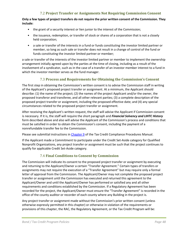# <span id="page-48-0"></span>7.2 **Project Transfer or Assignments Not Requiring Commission Consent**

#### **Only a few types of project transfers do not require the prior written consent of the Commission. They include:**

- the grant of a security interest or lien junior to the interest of the Commission;
- the issuance, redemption, or transfer of stock or shares of a corporation that is not a closely held corporation;
- a sale or transfer of the interests in a fund or funds constituting the investor limited partner or member, so long as such sale or transfer does not result in a change of control of the fund or funds constituting the investor limited partner or member;

a sale or transfer of the interests of the investor limited partner or member to implement the ownership arrangement initially agreed upon by the parties at the time of closing, including as a result of the involvement of a syndicator, such as in the case of a transfer of an investor member interest to a fund in which the investor member serves as the fund manager.

# <span id="page-48-1"></span>7.3 **Process and Requirements for Obtaining the Commission's Consent**

The first step in obtaining the Commission's written consent is to advise the Commission staff in writing of the Applicant's proposed project transfer or assignment. At a minimum, the Applicant should describe: (1) the name of the project; (2) the names of the project Applicant and/or the owner, the proposed transferor and transferee, and all other relevant parties; (3) a complete description of the proposed project transfer or assignment, including the proposed effective date; and (4) any special circumstances related to the proposed project transfer or assignment.

After receiving the Applicant's written request, the staff will advise the Applicant if Commission consent is necessary. If it is, the staff will require the short paragraph and *Financial Solvency and LIHTC History* form described above and also will advise the Applicant of the Commission's process and conditions that must be satisfied in order to obtain the Commission's consent, including the payment of a nonrefundable transfer fee to the Commission.

Please see submittal instructions i[n Chapter 9](http://www.wshfc.org/managers/ManualTaxCreditIndex.htm) of the Tax Credit Compliance Procedures Manual.

If the Applicant made a Commitment to participate under the Credit Set-Aside category for Qualified Nonprofit Organizations, any project transfer or assignment must be such that the project continues to qualify for applicable Credit Set-Aside category.

# <span id="page-48-2"></span>7.4 **Final Conditions to Consent by Commission**

The Commission will indicate its consent to the proposed project transfer or assignment by executing and returning to the Applicant/Owner a certain "Transfer Agreement." Certain types of transfers or assignments may not require the execution of a "Transfer Agreement" but may require only a formal letter of approval from the Commission. The Applicant/Owner may not complete the proposed project transfer or assignment until the Commission has executed and returned this agreement to the Applicant/Owner and until the Applicant/Owner has performed or satisfied any and all other requirements and conditions established by the Commission. If a Regulatory Agreement has been recorded for the project, the Applicant/Owner must ensure the "Transfer Agreement" is recorded in the office of the county auditor or recorder of each county where any Building in the project is.

Any project transfer or assignment made without the Commission's prior written consent (unless otherwise expressly permitted in this chapter) or otherwise in violation of the requirements or provisions of this chapter, the RAC, the Regulatory Agreement, or the Tax Credit Program will be: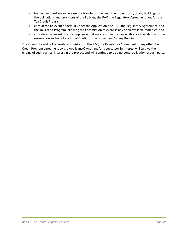- ineffective to relieve or release the transferor, the land, the project, and/or any building from the obligations and provisions of the Policies, the RAC, the Regulatory Agreement, and/or the Tax Credit Program;
- considered an event of default under the Application, the RAC, the Regulatory Agreement, and the Tax Credit Program, allowing the Commission to exercise any or all available remedies; and
- considered an event of Noncompliance that may result in the cancellation or invalidation of the reservation and/or allocation of Credit for the project and/or any Building.

The indemnity and hold-harmless provisions of the RAC, the Regulatory Agreement or any other Tax Credit Program agreement by the Applicant/Owner and/or a successor-in-interest will survive the ending of such parties' interest in the project and will continue to be a personal obligation of such party.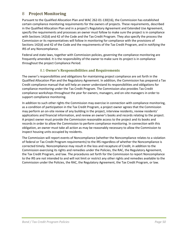# <span id="page-50-0"></span>8 **Project Monitoring**

Pursuant to the Qualified Allocation Plan and WAC 262-01-130(16), the Commission has established certain compliance monitoring requirements for the owners of projects. These requirements, described in the Qualified Allocation Plan and in a project's Regulatory Agreement and Extended Use Agreement, specify the requirements and processes an owner must follow to make sure the project is in compliance with Sections 142(d) and 42 of the Code and the Tax Credit Program. They also specify the process the Commission or its representatives will follow in monitoring for compliance with the provisions of Sections 142(d) and 42 of the Code and the requirements of the Tax Credit Program, and in notifying the IRS of any Noncompliance.

Federal and state laws, together with Commission policies, governing the compliance monitoring are frequently amended. It is the responsibility of the owner to make sure its project is in compliance throughout the project Compliance Period.

# <span id="page-50-1"></span>8.1 **Owner's Responsibilities and Requirements**

The owner's responsibilities and obligations for maintaining project compliance are set forth in the Qualified Allocation Plan and the Regulatory Agreement. In addition, the Commission has prepared a Tax Credit compliance manual that will help an owner understand its responsibilities and obligations for compliance monitoring under the Tax Credit Program. The Commission also provides Tax Credit compliance workshops throughout the year for owners, managers, and on-site managers in order to support compliance monitoring.

In addition to such other rights the Commission may exercise in connection with compliance monitoring, as a condition of participation in the Tax Credit Program, a project owner agrees that the Commission may perform an on-site review of any building in the project, interview residents, review residents' applications and financial information, and review an owner's books and records relating to the project. A project owner must provide the Commission reasonable access to the project and its books and records in order to allow the Commission to perform compliance monitoring. In connection with this obligation, an owner must take all action as may be reasonably necessary to allow the Commission to inspect housing units occupied by residents.

The Commission will report events of Noncompliance (whether the Noncompliance relates to a violation of federal or Tax Credit Program requirements) to the IRS regardless of whether the Noncompliance is corrected timely. Noncompliance may result in the loss and recapture of Credit, in addition to the Commission exercising its rights and remedies under the Policies, the RAC, the Regulatory Agreement, the Tax Credit Program, and law. The procedures set forth for the Commission to report Noncompliance to the IRS are not intended to and will not limit or restrict any other rights and remedies available to the Commission under the Policies, the RAC, the Regulatory Agreement, the Tax Credit Program, or law.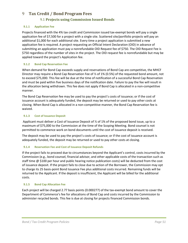# <span id="page-51-0"></span>9 **Tax Credit / Bond Program Fees**

# <span id="page-51-2"></span><span id="page-51-1"></span>9.1 **Projects using Commission Issued Bonds**

#### **9.1.1 Application Fee**

Projects financed with the 4% tax credit and Commission issued tax-exempt bonds will pay a single application fee of \$7,500 for a project with a single site. Scattered site/portfolio projects will pay an additional \$1,000 for each additional site. Every time a project application is submitted a new application fee is required. A project requesting an Official Intent Declaration (OID) in advance of submitting an application must pay a nonrefundable OID Request fee of \$750. The OID Request Fee is \$750 regardless of the number of sites in the project. The OID request fee is nonrefundable but may be applied toward the project's Application fee.

#### <span id="page-51-7"></span><span id="page-51-3"></span>**9.1.2 Bond Cap Reservation Fee**

When demand for Bond Cap exceeds supply and reservations of Bond Cap are competitive, the MHCF Director may require a Bond Cap Reservation Fee of ½ of 1% (0.5%) of the requested bond amount, not to exceed \$75,000. This fee will be due at the time of notification of a successful Bond Cap Reservation and must be paid within five business days of the notification date. Failure to pay the fee will result in the allocation being withdrawn. This fee does not apply if Bond Cap is allocated in a non-competitive manner.

The Bond Cap Reservation fee may be used to pay the project's costs of issuance; or if the cost of issuance account is adequately funded, the deposit may be returned or used to pay other costs at closing. When Bond Cap is allocated in a non-competitive manner, the Bond Cap Reservation fee is waived.

#### <span id="page-51-4"></span>**9.1.3 Cost of Issuance Deposit**

Applicant must deliver a Cost of Issuance Deposit of  $\frac{1}{2}$  of 1% of the proposed bond issue, up to a maximum of \$75,000 to the Commission at the time of the Scoping Meeting. Bond counsel is not permitted to commence work on bond documents until the cost of issuance deposit is received.

The deposit may be used to pay the project's costs of issuance; or if the cost of issuance account is adequately funded, the deposit may be returned or used to pay other costs at closing.

#### <span id="page-51-5"></span>**9.1.4 Reservation Fee and Cost of Issuance Deposit Refunds**

If the project fails to proceed due to circumstances beyond the Applicant's control, costs incurred by the Commission (e.g., bond counsel, financial advisor, and other applicable costs of the transaction such as staff time @ \$100 per hour and public hearing notice publication costs) will be deducted from the cost of issuance deposit. If the project fails to close due to action of the Borrower, the Commission may opt to charge its 25 basis-point Bond Issuance Fee plus additional costs incurred. Remaining funds will be returned to the Applicant. If the deposit is insufficient, the Applicant will be billed for the additional costs.

#### <span id="page-51-6"></span>**9.1.5 Bond Cap Allocation Fee**

Each project will be charged 2.77 basis points (0.000277) of the tax-exempt bond amount to cover the Department of Commerce's fee for allocations of Bond Cap and costs incurred by the Commission to administer recycled bonds. This fee is due at closing for projects financed Commission bonds.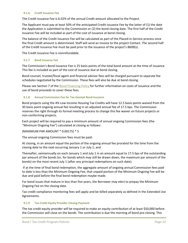#### <span id="page-52-0"></span>**9.1.6 Credit Issuance Fee**

The Credit Issuance Fee is 6.02% of the annual Credit amount allocated to the Project.

The Applicant must pay at least 50% of the anticipated Credit Issuance Fee by the latter of (1) the date the Application is submitted to the Commission or (2) the bond closing date. The first half of the Credit Issuance Fee will be included as part of the cost of issuance at bond closing.

The balance of the Credit Issuance Fee will be calculated as part of the Placed-in-Service process once the final Credit amount is determined. Staff will send an invoice to the project Contact. The second half of the Credit Issuance Fee must be paid prior to the issuance of the project's 8609(s).

The Credit Issuance Fee is nonrefundable.

#### <span id="page-52-1"></span>**9.1.7 Bond Issuance Fee**

The Commission's Bond Issuance Fee is 25 basis points of the total bond amount at the time of issuance. This fee is included as part of the cost of issuance due at bond closing.

Bond counsel, trustee/fiscal agent and financial advisor fees will be charged pursuant to separate fee schedules negotiated by the Commission. These fees will also be due at bond closing.

Please see Section 7 of th[e Bond Financing Policy](http://www.wshfc.org/mhcf/MultifamilyHousingBondPolicy.pdf) for further information on costs of issuance and the use of bond proceeds to cover these fees.

#### <span id="page-52-2"></span>**9.1.8 Annual Commission Fee for Tax-Exempt Bond Issuance**

Bond projects using the 4% Low-Income Housing Tax Credits will have 12.5 basis points waived from the 30 basis point ongoing annual fee resulting in an adjusted annual fee of 17.5 bps. The Commission reserves the right through its formal meeting process to change this fee waiver on future projects or non-conforming projects.

Each project will be required to pay a minimum amount of annual ongoing Commission fees (the "Minimum Ongoing Fee") calculated at closing as follows:

#### (MAXIMUM PAR AMOUNT \* 0.00175) \* 5

The annual ongoing Commission fees must be paid:

At closing, in an amount equal the portion of the ongoing annual fee prorated for the time from the closing date to the next occurring January 1 or July 1; and

Thereafter, semiannually on each January 1 and July 1 in an amount equal to 17.5 bps of the outstanding par amount of the bonds (or, for bonds which may still be drawn down, the maximum par amount of the bonds) on the most recent July 1 (after any principal redemptions on such date).

If at the time of final bond redemption, the aggregate amount of ongoing annual Commission fees paid to date is less than the Minimum Ongoing Fee, that unpaid portion of the Minimum Ongoing Fee will be due and paid before the final bond redemption maybe made.

For bond issues that mature in less than five years, the Borrower may elect to prepay the Minimum Ongoing Fee on the closing date.

Tax credit compliance monitoring fees will apply and be billed separately as defined in the Extended Use Agreements.

#### <span id="page-52-3"></span>**9.1.9 Tax Credit Equity Provider Closing Payment**

The tax credit equity provider will be required to make an equity contribution of at least \$50,000 before the Commission will close on the bonds. The contribution is due the morning of bond pre-closing. This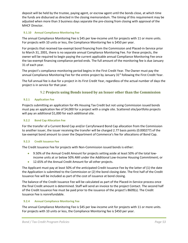deposit will be held by the trustee, paying agent, or escrow agent until the bonds close, at which time the funds are disbursed as directed in the closing memorandum. The timing of this requirement may be adjusted when more than 3 business days separate the pre-closing from closing with approval of the MHCF Director.

#### <span id="page-53-0"></span>**9.1.10 Annual Compliance Monitoring Fee**

The annual Compliance Monitoring Fee is \$45 per low-income unit for projects with 11 or more units. For projects with 10 units or less, the Compliance Monitoring fee is \$450 per year.

For projects that received tax-exempt bond financing from the Commission and Placed-in-Service prior to March 31, 2001, there is no separate annual Compliance Monitoring Fee. For these projects, the owner will be required to begin paying the current applicable annual Compliance Monitoring Fee once the tax-exempt financing compliance period ends. The full amount of the monitoring fee is due January 31 of each year.

The project's compliance monitoring period begins in the First Credit Year. The Owner must pay the annual Compliance Monitoring Fee for the entire project by January 31<sup>st</sup> following the First Credit Year.

The full annual fee is due for a project in its First Credit Year, regardless of the actual number of days the project is in service for that year.

# <span id="page-53-2"></span><span id="page-53-1"></span>9.2 **Projects using Bonds issued by an Issuer other than the Commission**

#### **9.2.1 Application Fee**

Projects submitting an application for 4% Housing Tax Credit but not using Commission issued bonds must pay an application fee of \$4,000 for a project with a single site. Scattered site/portfolio projects will pay an additional \$1,000 for each additional site.

#### <span id="page-53-3"></span>**9.2.2 Bond Cap Allocation Fee**

For the transfer of a Current Bond Cap and/or Carryforward Bond Cap allocation from the Commission to another issuer, the issuer receiving the transfer will be charged 2.77 basis points (0.000277) of the tax-exempt bond amount to cover the Department of Commerce's fee for allocations of Bond Cap.

#### <span id="page-53-4"></span>**9.2.3 Credit Issuance Fee**

The Credit Issuance Fee for projects with Non-Commission issued bonds is either:

- 9.50% of the Annual Credit Amount for projects setting aside at least 50% of the total lowincome units at or below 50% AMI under the Additional Low-Income Housing Commitment; or
- 12.65% of the Annual Credit Amount for all other projects.

The Applicant must pay at least 50% of the anticipated Credit Issuance Fee by the latter of (1) the date the Application is submitted to the Commission or (2) the bond closing date. The first half of the Credit Issuance Fee will be included as part of the cost of issuance at bond closing.

The balance of the Credit Issuance Fee will be calculated as part of the Placed-in-Service process once the final Credit amount is determined. Staff will send an invoice to the project Contact. The second half of the Credit Issuance Fee must be paid prior to the issuance of the project's 8609(s). The Credit Issuance Fee is nonrefundable.

#### <span id="page-53-5"></span>**9.2.4 Annual Compliance Monitoring Fee**

The annual Compliance Monitoring Fee is \$45 per low-income unit for projects with 11 or more units. For projects with 10 units or less, the Compliance Monitoring fee is \$450 per year.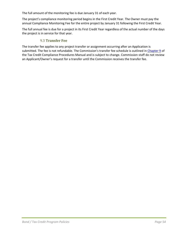The full amount of the monitoring fee is due January 31 of each year.

The project's compliance monitoring period begins in the First Credit Year. The Owner must pay the annual Compliance Monitoring Fee for the entire project by January 31 following the First Credit Year.

The full annual fee is due for a project in its First Credit Year regardless of the actual number of the days the project is in service for that year.

## <span id="page-54-0"></span>9.3 **Transfer Fee**

The transfer fee applies to any project transfer or assignment occurring after an Application is submitted. The fee is not refundable. The Commission's transfer fee schedule is outlined i[n Chapter 9](http://www.wshfc.org/managers/ManualTaxCreditIndex.htm) of the Tax Credit Compliance Procedures Manual and is subject to change. Commission staff do not review an Applicant/Owner's request for a transfer until the Commission receives the transfer fee.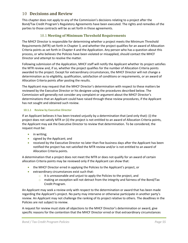# <span id="page-55-0"></span>10 **Decisions and Review**

This chapter does not apply to any of the Commission's decisions relating to a project after the Bond/Tax Credit Program's Regulatory Agreements have been executed. The rights and remedies of the parties to those contracts will be as set forth in those agreements.

# <span id="page-55-1"></span>10.1 **Meeting of Minimum Threshold Requirements**

The MHCF Director is responsible for determining whether a project meets the Minimum Threshold Requirements (MTR) set forth in Chapter 3, and whether the project qualifies for an award of Allocation Criteria points as set forth in Chapter 4 and the Application. Any person who has a question about this process, or who believes the Policies have been violated or misapplied, should contact the MHCF Director and attempt to resolve the matter.

Following submission of the Application, MHCF staff will notify the Applicant whether its project satisfies the MTR review and, if so, whether the project qualifies for the number of Allocation Criteria points awarded to the project. Except for extraordinary circumstances, the MHCF Director will not change a determination as to eligibility, qualification, satisfaction of conditions or requirements, or an award of Allocation Criteria points after posting the results.

The Applicant may request that the MHCF Director's determination with respect to these matters be reviewed by the Executive Director or his designee using the procedures described below. The Commission will generally not consider any complaint or argument about the MHCF Director's determinations that an Applicant could have raised through these review procedures, if the Applicant has not sought and obtained such review.

#### <span id="page-55-2"></span>**10.1.1 Review by Executive Director**

If an Applicant believes it has been treated unjustly by a determination that (and only that): (i) the project does not satisfy MTR or (ii) the project is not entitled to an award of Allocation Criteria points, the Applicant may ask the Executive Director to review that determination. To be considered, the request must be:

- in writing;
- signed by the Applicant; and
- received by the Executive Director no later than five business days after the Applicant has been notified the project has not satisfied the MTR review and/or is not entitled to an award of Allocation Criteria points.

A determination that a project does not meet the MTR or does not qualify for an award of certain allocation Criteria points may be reviewed only if the Applicant can show that:

- the MHCF Director erred in applying the Policies to the Applicant's project, or
- extraordinary circumstances exist such that:
	- $\circ$  it is unreasonable and unjust to apply the Policies to the project, and
	- $\circ$  making an exception will not detract from the integrity and fairness of the Bond/Tax Credit Program.

An Applicant may seek a review only with respect to the determination or award that has been made regarding the Applicant's project. No party may intervene or otherwise participate in another party's review. An Applicant may not challenge the ranking of its project relative to others. The deadlines in the Policies are not subject to review.

A request for review must state all objections to the MHCF Director's determination or award, give specific reasons for the contention that the MHCF Director erred or that extraordinary circumstances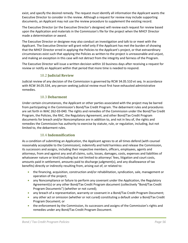exist, and specify the desired remedy. The request must identify all information the Applicant wants the Executive Director to consider in the review. Although a request for review may include supporting documents, an Applicant may not use the review procedure to supplement the existing record.

The Executive Director (or the Executive Director's designee) will review each request for review based upon the Application and materials in the Commission's file for the project when the MHCF Director made a determination or award.

The Executive Director or designee may also conduct an investigation and talk to or meet with the Applicant. The Executive Director will grant relief only if the Applicant has met the burden of showing that the MHCF Director erred in applying the Policies to the Applicant's project, or that extraordinary circumstances exist such that applying the Policies as written to the project is unreasonable and unjust, and making an exception in this case will not detract from the integrity and fairness of the Program.

The Executive Director will issue a written decision within 10 business days after receiving a request for review or notify an Applicant within that period that more time is needed to respond.

# <span id="page-56-0"></span>10.2 **Judicial Review**

Judicial review of any decision of the Commission is governed by RCW 34.05.510 et seq. In accordance with RCW 34.05.534, any person seeking judicial review must first have exhausted administrative remedies.

#### <span id="page-56-1"></span>10.3 **Debarment**

Under certain circumstances, the Applicant or other parties associated with the project may be barred from participating in the Commission's Bond/Tax Credit Program. The debarment rules and procedures are set forth in WAC 262-03-040. The rights and remedies of the Commission under the Bond/Tax Credit Program, the Policies, the RAC, the Regulatory Agreement, and other Bond/Tax Credit Program documents for breach and/or Noncompliance are in addition to, and not in lieu of, the rights and remedies the Commission has authority to exercise by statute, rule, or regulation, including, but not limited to, the debarment rules.

# <span id="page-56-2"></span>10.4 **Indemnification**

As a condition of submitting an Application, the Applicant agrees to at all times defend (with counsel reasonably acceptable to the Commission), indemnify and hold harmless and release the Commission, its successors and assigns, including their respective members, officers, employees, agents and attorneys, from and against any and all claims, suits, losses, damages, costs, expenses and liabilities of whatsoever nature or kind (including but not limited to attorneys' fees, litigation and court costs, amounts paid in settlement, amounts paid to discharge judgment(s), and any disallowance of tax benefits) directly or indirectly resulting from, arising out of, or related to:

- the financing, acquisition, construction and/or rehabilitation, syndication, sale, management or operation of the project;
- any Noncompliance or failure to perform any covenant under the Application, the Regulatory Agreement(s) or any other Bond/Tax Credit Program document (collectively "Bond/Tax Credit Program Documents") (whether or not cured);
- any breach of a representation, warranty or covenant in a Bond/Tax Credit Program Document;
- any other act or omission (whether or not cured) constituting a default under a Bond/Tax Credit Program Document; or
- the enforcement by the Commission, its successors and assigns of the Commission's rights and remedies under any Bond/Tax Credit Program Document.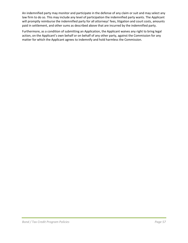An indemnified party may monitor and participate in the defense of any claim or suit and may select any law firm to do so. This may include any level of participation the indemnified party wants. The Applicant will promptly reimburse the indemnified party for all attorneys' fees, litigation and court costs, amounts paid in settlement, and other sums as described above that are incurred by the indemnified party.

Furthermore, as a condition of submitting an Application, the Applicant waives any right to bring legal action, on the Applicant's own behalf or on behalf of any other party, against the Commission for any matter for which the Applicant agrees to indemnify and hold harmless the Commission.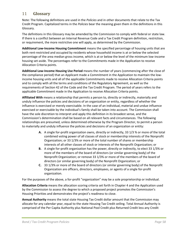# <span id="page-58-0"></span>11 **Glossary**

Note: The following definitions are used in the *Policies* and in other documents that relate to the Tax Credit Program. Capitalized terms in the *Policies* bear the meaning given them in the definitions in this Glossary.

The definitions in this Glossary may be amended by the Commission to comply with federal or state law. If there is a conflict between an Internal Revenue Code and a Tax Credit Program definition, restriction, or requirement, the more restrictive one will apply, as determined by the Commission.

**Additional Low-Income Housing Commitment** means the specified percentage of housing units that are both rent-restricted and occupied by residents whose household income is at or below the selected percentage of the area median gross income, which is at or below the level of the minimum low-income housing set-aside. The percentages refer to the Commitments made in the Application to receive Allocation Criteria points.

**Additional Low-Income Housing Use Period** means the number of years (commencing after the close of the compliance period) that an Applicant made a Commitment in the Application to maintain the lowincome housing units and all of the applicable Commitments made to receive Allocation Criteria points and to comply with all the terms and conditions of the Regulatory Agreement, as well as the requirements of Section 42 of the Code and the Tax Credit Program. The period of years refers to the applicable Commitment made in the Application to receive Allocation Criteria points.

**Affiliated With** means a relationship that permits a person to, directly or indirectly, materially and unduly influence the policies and decisions of an organization or entity, regardless of whether the influence is exercised or merely exercisable. In the case of an individual, material and undue influence exercised or exercisable by the individual's family shall be taken into account. The Commission shall have the sole discretion to interpret and apply this definition in its broadest sense, and the Commission's determination shall be based on all relevant facts and circumstances. The following relationships are presumed, unless determined otherwise by the Program Director, to permit a person to materially and unduly influence the policies and decisions of an organization or entity:

- **A.** A single for-profit organization owns, directly or indirectly, 33 1/3 % or more of the total combined voting power of all classes of stock or membership interests of the Nonprofit Organization; or 33 1/3% or more of the total number of shares or membership interests of all other classes of stock or interests of the Nonprofit Organization; or
- **B.** A single for-profit organization has the power, directly or indirectly, to elect 33 1/3% or more of the members of the board of directors (or similar governing body) of the Nonprofit Organization; or remove 33 1/3% or more of the members of the board of directors (or similar governing body) of the Nonprofit Organization; or
- **C.** 33 1/3% or more of the board of directors (or similar governing body) of the Nonprofit Organization are officers, directors, employees, or agents of a single for-profit organization.

For the purposes of the above, a for-profit "organization" may be a sole proprietorship or individual.

**Allocation Criteria** means the allocation scoring criteria set forth in Chapter 4 and the Application used by the Commission to assess the degree to which a proposed project promotes the Commission's Housing Priorities and demonstrates the project's readiness to close.

**Annual Authority** means the total state Housing Tax Credit dollar amount that the Commission may allocate for any calendar year, equal to the state Housing Tax Credit ceiling. Total Annual Authority is comprised of the Per Capita Authority plus National Pool Credit plus Returned Credit less any Credit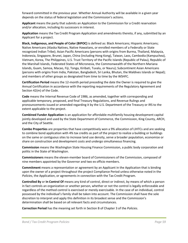forward committed in the previous year. Whether Annual Authority will be available in a given year depends on the status of federal legislation and the Commission's actions.

**Applicant** means the party that submits an Application to the Commission for a Credit reservation and/or allocation, including its successors in interest.

**Application** means the Tax Credit Program Application and amendments thereto, if any, submitted by an Applicant for a project.

**Black, Indigenous, and People of Color (BIPOC)** is defined as: Black Americans; Hispanic Americans; Native Americans (Alaska Natives, Native Hawaiians, or enrolled members of a Federally or State recognized Indian Tribe); Asian Pacific Americans (persons with origins from Burma, Thailand, Malaysia, Indonesia, Singapore, Brunei, Japan, China (including Hong Kong), Taiwan, Laos, Cambodia (Kampuchea), Vietnam, Korea, The Philippines, U.S. Trust Territory of the Pacific Islands (Republic of Palau), Republic of the Marshall Islands, Federated States of Micronesia, the Commonwealth of the Northern Mariana Islands, Guam, Samoa, Macao, Fiji, Tonga, Kiribati, Tuvalu, or Nauru); Subcontinent Asian Americans (persons with origins from India, Pakistan, Bangladesh, Sri Lanka, Bhutan, the Maldives Islands or Nepal); and members of other groups as designated from time to time by the WSHFC.

**Certification Period** means the 12-month period preceding the date the Owner is required to give the Annual Certification in accordance with the reporting requirements of the Regulatory Agreement and Section 42(m) of the Code.

**Code** means the Internal Revenue Code of 1986, as amended, together with corresponding and applicable temporary, proposed, and final Treasury Regulations, and Revenue Rulings and pronouncements issued or amended regarding it by the U.S. Department of the Treasury or IRS to the extent applicable to the project.

**Combined Funder Application** is an application for affordable multifamily housing development capital jointly developed and used by the State Department of Commerce, the Commission, King County, ARCH, and the City of Seattle.

**Combo Properties** are properties that have competitively won a 9% allocation of LIHTCs and are seeking to combine bond application with 4% tax credits as part of the project to realize a building or buildings on the same or contiguous sites to increase land use density, serve a broader population, economize or share on construction and development costs and undergo simultaneous financing.

**Commission** means the Washington State Housing Finance Commission, a public body corporation and politic in the State of Washington.

**Commissioners** means the eleven-member board of Commissioners of the Commission, composed of nine members appointed by the Governor and two ex officio members.

**Commitment** means a representation or agreement by an Applicant in the Application that is binding upon the owner of a project throughout the project Compliance Period unless otherwise noted in the *Policies*, the Application, or agreements in connection with the Tax Credit Program.

**Controlled By** or **In Control Of** means any kind of control, direct or indirect, by means of which a person in fact controls an organization or another person, whether or not the control is legally enforceable and regardless of the method control is exercised or merely exercisable. In the case of an individual, control possessed by the individual's family shall be taken into account. The Commission shall have the sole discretion to interpret and apply this definition in its broadest sense and the Commission's determination shall be based on all relevant facts and circumstances.

**Correction Period** has the meaning set forth in Section B of Chapter 3 of the *Policies*.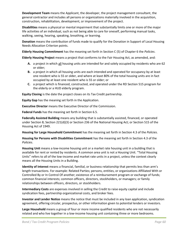**Development Team** means the Applicant, the developer, the project management consultant, the general contractor and includes all persons or organizations materially involved in the acquisition, construction, rehabilitation, development, or improvement of the project.

**Disabilities** means a physical or mental impairment that substantially limits one or more of the major life activities of an individual, such as not being able to care for oneself, performing manual tasks, walking, seeing, hearing, speaking, breathing, or learning.

**Donation** means the contribution of funds made to qualify for the Donation in Support of Local Housing Needs Allocation Criterion points.

**Elderly Housing Commitment** has the meaning set forth in Section C (5) of Chapter 6 the *Policies*.

**Elderly Housing Project** means a project that conforms to the Fair Housing Act, as amended, and:

- **A.** a project in which all housing units are intended for and solely occupied by residents who are 62 or older;
- **B.** a project in which all housing units are each intended and operated for occupancy by at least one resident who is 55 or older, and where at least 80% of the total housing units are in fact occupied by at least one resident who is 55 or older; or
- **C.** a project which is financed, constructed, and operated under the RD Section 515 program for the elderly or a HUD elderly program.

**Equity Closing** is the date the project closes on its Tax Credit partnership.

**Equity Gap** has the meaning set forth in the Application.

**Executive Director** means the Executive Director of the Commission.

**Federal Funds** has the meaning set forth in Section 6.5.

**Federally Assisted Building** means any building that is substantially assisted, financed, or operated under Section 8; Section 221(d)(3) or Section 236 of the National Housing Act; or Section 515 of the Housing Act of 1949.

**Housing for Large Household Commitment** has the meaning set forth in Section 4.3 of the *Policies*.

**Housing for Persons with Disabilities Commitment** has the meaning set forth in Section 4.3 of the *Policies*.

**Housing Unit** means a low-income housing unit or a market rate housing unit in a building that is available for rent or rented by residents. A common area unit is not a Housing Unit. "Total Housing Units" refers to all of the low-income and market rate units in a project, unless the context clearly means all the Housing Units in a Building.

**Identity of Interest** means a financial, familial, or business relationship that permits less than arm's length transactions. For example: Related Parties; persons, entities, or organizations Affiliated With or Controlled By or In Control Of another; existence of a reimbursement program or exchange of funds; common financial interests; common officers, directors, stockholders, or managers; or family relationships between officers, directors, or stockholders.

**Intermediary Costs** are expenses involved in selling the Credit to raise equity capital and include syndication fees, partnership organizational costs, and broker fees.

**Investor and Lender Notice** means the notice that must be included in any loan application, syndication agreement, offering circular, prospectus, or other information given to potential lenders or investors.

**Large Household** means a group of four or more income qualified residents who are not necessarily related and who live together in a low-income housing unit containing three or more bedrooms.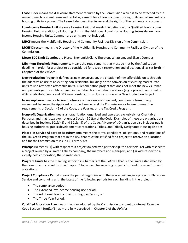**Lease Rider** means the disclosure statement required by the Commission which is to be attached by the owner to each resident lease and rental agreement for all Low-Income Housing Units and all market rate housing units in a project. The Lease Rider describes in general the rights of the residents of a project.

**Low-Income Housing Unit** means a Housing Unit that meets the definition of a Qualified Low-Income Housing Unit. In addition, all Housing Units in the Additional Low-Income Housing Set-Aside are Low-Income Housing Units. Common area units are not included.

**MHCF** means the Multifamily Housing and Community Facilities Division of the Commission.

**MCHF Director** means the Director of the Multifamily Housing and Community Facilities Division of the Commission.

**Metro TDC Limit Counties** are Pierce, Snohomish Clark, Thurston, Whatcom, and Skagit Counties.

**Minimum Threshold Requirements** means the requirements that must be met by the Application deadline in order for a project to be considered for a Credit reservation and allocation, all as set forth in Chapter 4 of the *Policies*.

**New Production Project** is defined as new construction, the creation of new affordable units through the adaptive re-use of an existing non-residential building; or the conversion of existing market-rate units to use-restricted affordable units. A Rehabilitation project that does not meet the new vs. rehab unit percentage thresholds outlined in the Rehabilitation definition above (e.g. a project comprised of 40% rehabilitated units and 60% new construction units) is considered a New Production Project.

**Noncompliance** means a failure to observe or perform any covenant, condition or term of any agreement between the Applicant or project owner and the Commission, or failure to meet the requirements of Section 42 of the Code, the *Policies*, or the Tax Credit Program.

**Nonprofit Organization** means an organization organized and operated exclusively for Charitable Purposes and that is tax-exempt under Section 501(a) of the Code. Examples of these are organizations described in Sections 501(c)(3) and 501(c)(4) of the Code. A Nonprofit Organization also includes public housing authorities, public development corporations, Tribes, and Tribally Designated Housing Entities.

**Placed-In-Service Allocation Requirements** means the terms, conditions, obligations, and restrictions of the Tax Credit Program that are in the RAC that must be satisfied for a project to receive an allocation and for the Commission to issue IRS Form 8609.

**Principal(s)** means (1) with respect to a project owned by a partnership, the partners; (2) with respect to a project owned by a limited liability company, the members and managers; and (3) with respect to a closely-held corporation, the shareholders.

**Program Limits** has the meaning set forth in Chapter 3 of the *Policies*, that is, the limits established by the Commission and set forth in Chapter 3 to be used for selecting projects for Credit reservations and allocations.

**Project Compliance Period** means the period beginning with the year a building in a project is Placed-in-Service and continuing until the latest of the following periods for each building in the project:

- The compliance period;
- The extended low-income housing use period;
- The Additional Low-Income Housing Use Period; or
- The Three-Year Period.

**Qualified Allocation Plan** means the plan adopted by the Commission pursuant to Internal Revenue Code Section 42(m)(1)(B), as more fully described in Chapter 1 of the *Policies*.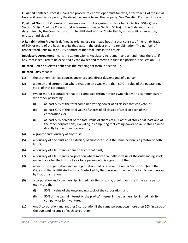**Qualified Contract Process** means the procedures a developer must follow if, after year 14 of the initial tax credit compliance period, the developer seeks to sell the property. Se[e Qualified Contract Process.](http://www.wshfc.org/managers/manualtaxcredit/120_chap10qualifiedcontractprocess.pdf)

**Qualified Nonprofit Organization** means a nonprofit organization described in Section 501(c)(3) or Section 501(c)(4) of the Code or that is tax-exempt under Section 501(a) of the Code and that is determined by the Commission not to be Affiliated With or Controlled By a for-profit organization, entity, or individual.

**A Rehabilitation Project** is defined as existing use-restricted housing that consists of the rehabilitation of 80% or more of the housing units that exist in the project prior to rehabilitation. The number of rehabilitated units must be 75% or more of the total units in the project.

**Regulatory Agreement** means the Commission's Regulatory Agreement and amendments thereto, if any, that is required to be executed by the owner and recorded in first lien position. See Section 2.11.

**Related Buyer or Related Seller** has the meaning set forth in Section 3.7.

#### **Related Party** means:

- (1) the brothers, sisters, spouse, ancestors, and direct descendants of a person;
- (2) a person and corporation where that person owns more than 50% in value of the outstanding stock of that corporation;
- (3) two or more corporations that are connected through stock ownership with a common parent with stock possessing:
	- (i) at least 50% of the total combined voting power of all classes that can vote, or
	- (ii) at least 50% of the total value of shares of all classes of stock of each of the corporations, or
	- (iii) at least 50% percent of the total value of shares of all classes of stock of at least one of the other corporations, excluding in computing that voting power or value stock owned directly by the other corporation;
- (4) a grantor and fiduciary of any trust;
- (5) a fiduciary of one trust and a fiduciary of another trust, if the same person is a grantor of both trusts;
- (6) a fiduciary of a trust and a beneficiary of that trust;
- (7) a fiduciary of a trust and a corporation where more than 50% in value of the outstanding stock is owned by or for the trust or by or for a person who is a grantor of the trust;
- (8) a person or organization and an organization that is tax-exempt under Section 501(a) of the Code and that is Affiliated With or Controlled By that person or the person's family members or by that organization;
- (9) a corporation and a partnership, limited liability company, or joint venture if the same persons own more than:
	- (i) 50% in value of the outstanding stock of the corporation; and
	- (ii) 50% of the capital interest or the profits' interest in the partnership, limited liability company, or joint venture;
- (10) one S corporation and another S corporation if the same persons own more than 50% in value of the outstanding stock of each corporation;